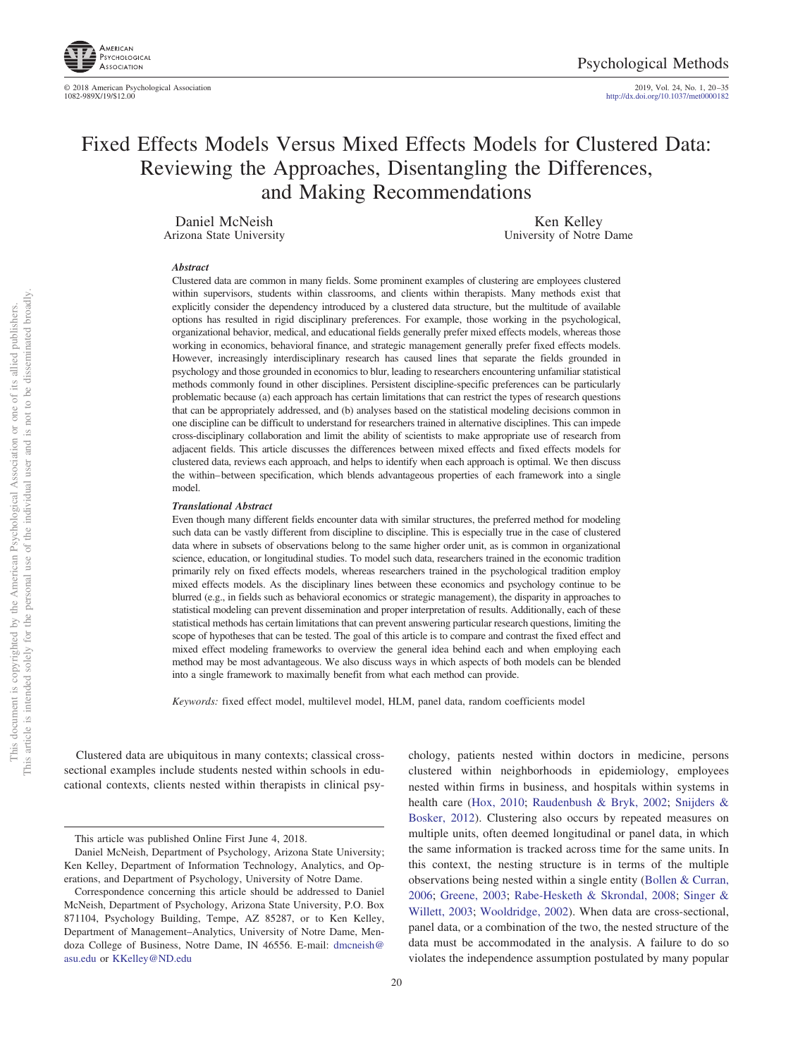

© 2018 American Psychological Association<br>1082-989X/19/\$12.00

2019, Vol. 24, No. 1, 20-35<br>http://dx.doi.org[/10.1037/met0000182](http://dx.doi.org/10.1037/met0000182)

# Fixed Effects Models Versus Mixed Effects Models for Clustered Data: Reviewing the Approaches, Disentangling the Differences, and Making Recommendations

Daniel McNeish Arizona State University

Ken Kelley University of Notre Dame

#### *Abstract*

Clustered data are common in many fields. Some prominent examples of clustering are employees clustered within supervisors, students within classrooms, and clients within therapists. Many methods exist that explicitly consider the dependency introduced by a clustered data structure, but the multitude of available options has resulted in rigid disciplinary preferences. For example, those working in the psychological, organizational behavior, medical, and educational fields generally prefer mixed effects models, whereas those working in economics, behavioral finance, and strategic management generally prefer fixed effects models. However, increasingly interdisciplinary research has caused lines that separate the fields grounded in psychology and those grounded in economics to blur, leading to researchers encountering unfamiliar statistical methods commonly found in other disciplines. Persistent discipline-specific preferences can be particularly problematic because (a) each approach has certain limitations that can restrict the types of research questions that can be appropriately addressed, and (b) analyses based on the statistical modeling decisions common in one discipline can be difficult to understand for researchers trained in alternative disciplines. This can impede cross-disciplinary collaboration and limit the ability of scientists to make appropriate use of research from adjacent fields. This article discusses the differences between mixed effects and fixed effects models for clustered data, reviews each approach, and helps to identify when each approach is optimal. We then discuss the within– between specification, which blends advantageous properties of each framework into a single model.

#### *Translational Abstract*

Even though many different fields encounter data with similar structures, the preferred method for modeling such data can be vastly different from discipline to discipline. This is especially true in the case of clustered data where in subsets of observations belong to the same higher order unit, as is common in organizational science, education, or longitudinal studies. To model such data, researchers trained in the economic tradition primarily rely on fixed effects models, whereas researchers trained in the psychological tradition employ mixed effects models. As the disciplinary lines between these economics and psychology continue to be blurred (e.g., in fields such as behavioral economics or strategic management), the disparity in approaches to statistical modeling can prevent dissemination and proper interpretation of results. Additionally, each of these statistical methods has certain limitations that can prevent answering particular research questions, limiting the scope of hypotheses that can be tested. The goal of this article is to compare and contrast the fixed effect and mixed effect modeling frameworks to overview the general idea behind each and when employing each method may be most advantageous. We also discuss ways in which aspects of both models can be blended into a single framework to maximally benefit from what each method can provide.

*Keywords:* fixed effect model, multilevel model, HLM, panel data, random coefficients model

Clustered data are ubiquitous in many contexts; classical crosssectional examples include students nested within schools in educational contexts, clients nested within therapists in clinical psychology, patients nested within doctors in medicine, persons clustered within neighborhoods in epidemiology, employees nested within firms in business, and hospitals within systems in health care [\(Hox, 2010;](#page-14-0) [Raudenbush & Bryk, 2002;](#page-14-1) [Snijders &](#page-14-2) [Bosker, 2012\)](#page-14-2). Clustering also occurs by repeated measures on multiple units, often deemed longitudinal or panel data, in which the same information is tracked across time for the same units. In this context, the nesting structure is in terms of the multiple observations being nested within a single entity [\(Bollen & Curran,](#page-13-0) [2006;](#page-13-0) [Greene, 2003;](#page-13-1) [Rabe-Hesketh & Skrondal, 2008;](#page-14-3) [Singer &](#page-14-4) [Willett, 2003;](#page-14-4) [Wooldridge, 2002\)](#page-15-0). When data are cross-sectional, panel data, or a combination of the two, the nested structure of the data must be accommodated in the analysis. A failure to do so violates the independence assumption postulated by many popular

This article was published Online First June 4, 2018.

Daniel McNeish, Department of Psychology, Arizona State University; Ken Kelley, Department of Information Technology, Analytics, and Operations, and Department of Psychology, University of Notre Dame.

Correspondence concerning this article should be addressed to Daniel McNeish, Department of Psychology, Arizona State University, P.O. Box 871104, Psychology Building, Tempe, AZ 85287, or to Ken Kelley, Department of Management–Analytics, University of Notre Dame, Mendoza College of Business, Notre Dame, IN 46556. E-mail: [dmcneish@](mailto:dmcneish@asu.edu) [asu.edu](mailto:dmcneish@asu.edu) or [KKelley@ND.edu](mailto:KKelley@ND.edu)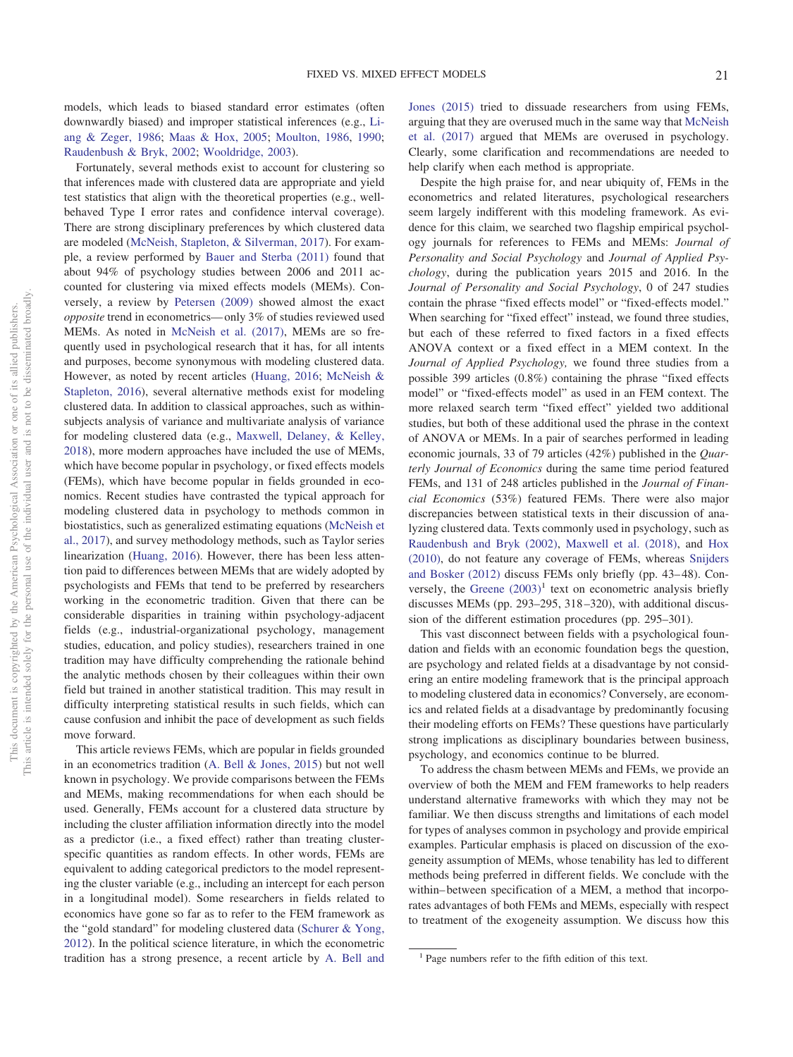models, which leads to biased standard error estimates (often downwardly biased) and improper statistical inferences (e.g., [Li](#page-14-5)[ang & Zeger, 1986;](#page-14-5) [Maas & Hox, 2005;](#page-14-6) [Moulton, 1986,](#page-14-7) [1990;](#page-14-8) [Raudenbush & Bryk, 2002;](#page-14-1) [Wooldridge, 2003\)](#page-15-1).

Fortunately, several methods exist to account for clustering so that inferences made with clustered data are appropriate and yield test statistics that align with the theoretical properties (e.g., wellbehaved Type I error rates and confidence interval coverage). There are strong disciplinary preferences by which clustered data are modeled [\(McNeish, Stapleton, & Silverman, 2017\)](#page-14-9). For example, a review performed by [Bauer and Sterba \(2011\)](#page-13-2) found that about 94% of psychology studies between 2006 and 2011 accounted for clustering via mixed effects models (MEMs). Conversely, a review by [Petersen \(2009\)](#page-14-10) showed almost the exact *opposite* trend in econometrics— only 3% of studies reviewed used MEMs. As noted in [McNeish et al. \(2017\),](#page-14-9) MEMs are so frequently used in psychological research that it has, for all intents and purposes, become synonymous with modeling clustered data. However, as noted by recent articles [\(Huang, 2016;](#page-14-11) [McNeish &](#page-14-12) [Stapleton, 2016\)](#page-14-12), several alternative methods exist for modeling clustered data. In addition to classical approaches, such as withinsubjects analysis of variance and multivariate analysis of variance for modeling clustered data (e.g., [Maxwell, Delaney, & Kelley,](#page-14-13) [2018\)](#page-14-13), more modern approaches have included the use of MEMs, which have become popular in psychology, or fixed effects models (FEMs), which have become popular in fields grounded in economics. Recent studies have contrasted the typical approach for modeling clustered data in psychology to methods common in biostatistics, such as generalized estimating equations [\(McNeish et](#page-14-9) [al., 2017\)](#page-14-9), and survey methodology methods, such as Taylor series linearization [\(Huang, 2016\)](#page-14-11). However, there has been less attention paid to differences between MEMs that are widely adopted by psychologists and FEMs that tend to be preferred by researchers working in the econometric tradition. Given that there can be considerable disparities in training within psychology-adjacent fields (e.g., industrial-organizational psychology, management studies, education, and policy studies), researchers trained in one tradition may have difficulty comprehending the rationale behind the analytic methods chosen by their colleagues within their own field but trained in another statistical tradition. This may result in difficulty interpreting statistical results in such fields, which can cause confusion and inhibit the pace of development as such fields move forward.

This article reviews FEMs, which are popular in fields grounded in an econometrics tradition [\(A. Bell & Jones, 2015\)](#page-13-3) but not well known in psychology. We provide comparisons between the FEMs and MEMs, making recommendations for when each should be used. Generally, FEMs account for a clustered data structure by including the cluster affiliation information directly into the model as a predictor (i.e., a fixed effect) rather than treating clusterspecific quantities as random effects. In other words, FEMs are equivalent to adding categorical predictors to the model representing the cluster variable (e.g., including an intercept for each person in a longitudinal model). Some researchers in fields related to economics have gone so far as to refer to the FEM framework as the "gold standard" for modeling clustered data [\(Schurer & Yong,](#page-14-14) [2012\)](#page-14-14). In the political science literature, in which the econometric tradition has a strong presence, a recent article by [A. Bell and](#page-13-3) [Jones \(2015\)](#page-13-3) tried to dissuade researchers from using FEMs, arguing that they are overused much in the same way that [McNeish](#page-14-9) [et al. \(2017\)](#page-14-9) argued that MEMs are overused in psychology. Clearly, some clarification and recommendations are needed to help clarify when each method is appropriate.

Despite the high praise for, and near ubiquity of, FEMs in the econometrics and related literatures, psychological researchers seem largely indifferent with this modeling framework. As evidence for this claim, we searched two flagship empirical psychology journals for references to FEMs and MEMs: *Journal of Personality and Social Psychology* and *Journal of Applied Psychology*, during the publication years 2015 and 2016. In the *Journal of Personality and Social Psychology*, 0 of 247 studies contain the phrase "fixed effects model" or "fixed-effects model." When searching for "fixed effect" instead, we found three studies, but each of these referred to fixed factors in a fixed effects ANOVA context or a fixed effect in a MEM context. In the *Journal of Applied Psychology,* we found three studies from a possible 399 articles (0.8%) containing the phrase "fixed effects model" or "fixed-effects model" as used in an FEM context. The more relaxed search term "fixed effect" yielded two additional studies, but both of these additional used the phrase in the context of ANOVA or MEMs. In a pair of searches performed in leading economic journals, 33 of 79 articles (42%) published in the *Quarterly Journal of Economics* during the same time period featured FEMs, and 131 of 248 articles published in the *Journal of Financial Economics* (53%) featured FEMs. There were also major discrepancies between statistical texts in their discussion of analyzing clustered data. Texts commonly used in psychology, such as [Raudenbush and Bryk \(2002\),](#page-14-1) [Maxwell et al. \(2018\),](#page-14-13) and [Hox](#page-14-0) [\(2010\),](#page-14-0) do not feature any coverage of FEMs, whereas [Snijders](#page-14-2) [and Bosker \(2012\)](#page-14-2) discuss FEMs only briefly (pp. 43– 48). Conversely, the Greene  $(2003)^1$  text on econometric analysis briefly discusses MEMs (pp. 293–295, 318 –320), with additional discussion of the different estimation procedures (pp. 295–301).

This vast disconnect between fields with a psychological foundation and fields with an economic foundation begs the question, are psychology and related fields at a disadvantage by not considering an entire modeling framework that is the principal approach to modeling clustered data in economics? Conversely, are economics and related fields at a disadvantage by predominantly focusing their modeling efforts on FEMs? These questions have particularly strong implications as disciplinary boundaries between business, psychology, and economics continue to be blurred.

To address the chasm between MEMs and FEMs, we provide an overview of both the MEM and FEM frameworks to help readers understand alternative frameworks with which they may not be familiar. We then discuss strengths and limitations of each model for types of analyses common in psychology and provide empirical examples. Particular emphasis is placed on discussion of the exogeneity assumption of MEMs, whose tenability has led to different methods being preferred in different fields. We conclude with the within– between specification of a MEM, a method that incorporates advantages of both FEMs and MEMs, especially with respect to treatment of the exogeneity assumption. We discuss how this

<sup>&</sup>lt;sup>1</sup> Page numbers refer to the fifth edition of this text.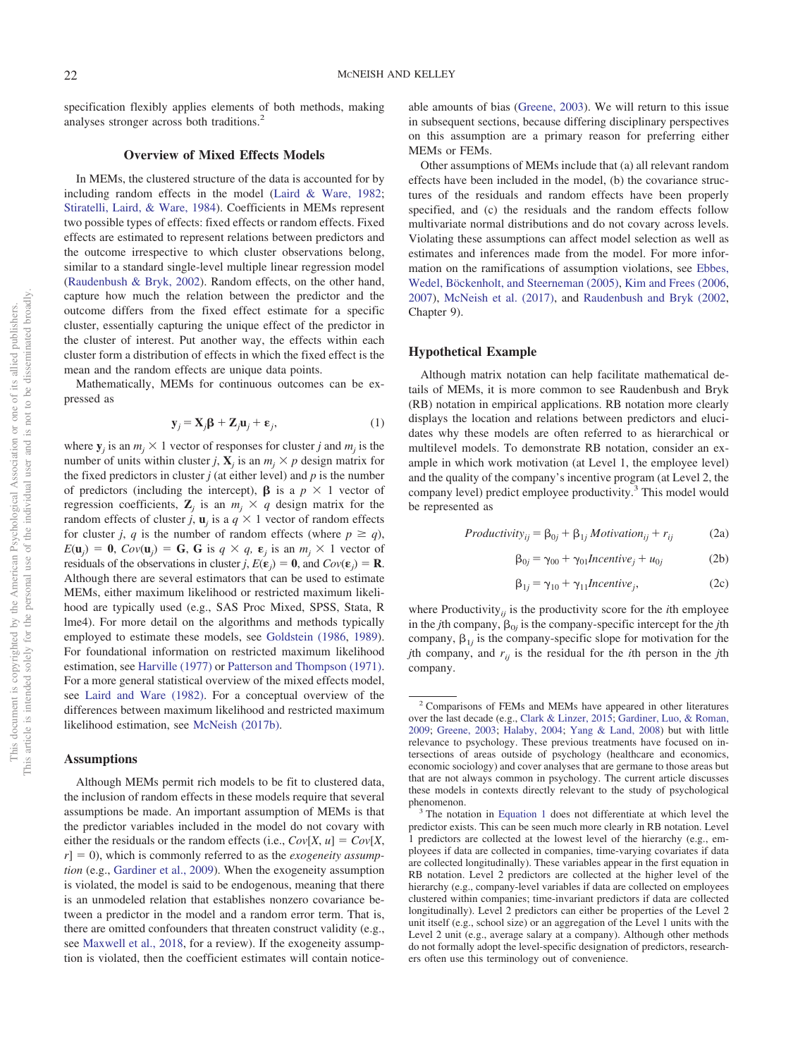specification flexibly applies elements of both methods, making analyses stronger across both traditions.2

## **Overview of Mixed Effects Models**

In MEMs, the clustered structure of the data is accounted for by including random effects in the model [\(Laird & Ware, 1982;](#page-14-15) [Stiratelli, Laird, & Ware, 1984\)](#page-15-2). Coefficients in MEMs represent two possible types of effects: fixed effects or random effects. Fixed effects are estimated to represent relations between predictors and the outcome irrespective to which cluster observations belong, similar to a standard single-level multiple linear regression model [\(Raudenbush & Bryk, 2002\)](#page-14-1). Random effects, on the other hand, capture how much the relation between the predictor and the outcome differs from the fixed effect estimate for a specific cluster, essentially capturing the unique effect of the predictor in the cluster of interest. Put another way, the effects within each cluster form a distribution of effects in which the fixed effect is the mean and the random effects are unique data points.

Mathematically, MEMs for continuous outcomes can be expressed as

$$
\mathbf{y}_j = \mathbf{X}_j \mathbf{\beta} + \mathbf{Z}_j \mathbf{u}_j + \mathbf{\varepsilon}_j,\tag{1}
$$

<span id="page-2-0"></span>where  $y_j$  is an  $m_j \times 1$  vector of responses for cluster *j* and  $m_j$  is the number of units within cluster *j*,  $X_j$  is an  $m_j \times p$  design matrix for the fixed predictors in cluster  $j$  (at either level) and  $p$  is the number of predictors (including the intercept),  $\beta$  is a  $p \times 1$  vector of regression coefficients,  $\mathbb{Z}_j$  is an  $m_j \times q$  design matrix for the random effects of cluster *j*,  $\mathbf{u}_j$  is a  $q \times 1$  vector of random effects for cluster *j*, *q* is the number of random effects (where  $p \ge q$ ),  $E(\mathbf{u}_j) = \mathbf{0}$ ,  $Cov(\mathbf{u}_j) = \mathbf{G}$ ,  $\mathbf{G}$  is  $q \times q$ ,  $\mathbf{\varepsilon}_j$  is an  $m_j \times 1$  vector of residuals of the observations in cluster *j*,  $E(\mathbf{\varepsilon}_j) = \mathbf{0}$ , and  $Cov(\mathbf{\varepsilon}_j) = \mathbf{R}$ . Although there are several estimators that can be used to estimate MEMs, either maximum likelihood or restricted maximum likelihood are typically used (e.g., SAS Proc Mixed, SPSS, Stata, R lme4). For more detail on the algorithms and methods typically employed to estimate these models, see [Goldstein \(1986,](#page-13-4) [1989\)](#page-13-5). For foundational information on restricted maximum likelihood estimation, see [Harville \(1977\)](#page-13-6) or [Patterson and Thompson \(1971\).](#page-14-16) For a more general statistical overview of the mixed effects model, see [Laird and Ware \(1982\).](#page-14-15) For a conceptual overview of the differences between maximum likelihood and restricted maximum likelihood estimation, see [McNeish \(2017b\).](#page-14-17)

#### **Assumptions**

Although MEMs permit rich models to be fit to clustered data, the inclusion of random effects in these models require that several assumptions be made. An important assumption of MEMs is that the predictor variables included in the model do not covary with either the residuals or the random effects (i.e.,  $Cov[X, u] = Cov[X,$  $r = 0$ ), which is commonly referred to as the *exogeneity assumption* (e.g., [Gardiner et al., 2009\)](#page-13-7). When the exogeneity assumption is violated, the model is said to be endogenous, meaning that there is an unmodeled relation that establishes nonzero covariance between a predictor in the model and a random error term. That is, there are omitted confounders that threaten construct validity (e.g., see [Maxwell et al., 2018,](#page-14-13) for a review). If the exogeneity assumption is violated, then the coefficient estimates will contain notice-

able amounts of bias [\(Greene, 2003\)](#page-13-1). We will return to this issue in subsequent sections, because differing disciplinary perspectives on this assumption are a primary reason for preferring either MEMs or FEMs.

Other assumptions of MEMs include that (a) all relevant random effects have been included in the model, (b) the covariance structures of the residuals and random effects have been properly specified, and (c) the residuals and the random effects follow multivariate normal distributions and do not covary across levels. Violating these assumptions can affect model selection as well as estimates and inferences made from the model. For more information on the ramifications of assumption violations, see [Ebbes,](#page-13-8) [Wedel, Böckenholt, and Steerneman \(2005\),](#page-13-8) [Kim and Frees \(2006,](#page-14-18) [2007\)](#page-14-19), [McNeish et al. \(2017\),](#page-14-9) and [Raudenbush and Bryk \(2002,](#page-14-1) Chapter 9).

#### **Hypothetical Example**

Although matrix notation can help facilitate mathematical details of MEMs, it is more common to see Raudenbush and Bryk (RB) notation in empirical applications. RB notation more clearly displays the location and relations between predictors and elucidates why these models are often referred to as hierarchical or multilevel models. To demonstrate RB notation, consider an example in which work motivation (at Level 1, the employee level) and the quality of the company's incentive program (at Level 2, the company level) predict employee productivity.<sup>3</sup> This model would be represented as

<span id="page-2-1"></span>
$$
Productivity_{ij} = \beta_{0j} + \beta_{1j} Motivation_{ij} + r_{ij}
$$
 (2a)

$$
\beta_{0j} = \gamma_{00} + \gamma_{01} \text{Incentive}_j + u_{0j} \tag{2b}
$$

$$
\beta_{1j} = \gamma_{10} + \gamma_{11} Incentive_j,
$$
 (2c)

<span id="page-2-3"></span><span id="page-2-2"></span>where Productivity<sub>*ij*</sub> is the productivity score for the *i*th employee in the *j*th company,  $\beta_{0j}$  is the company-specific intercept for the *j*th company,  $\beta_{1j}$  is the company-specific slope for motivation for the *j*th company, and  $r_{ij}$  is the residual for the *i*th person in the *j*th company.

<sup>2</sup> Comparisons of FEMs and MEMs have appeared in other literatures over the last decade (e.g., [Clark & Linzer, 2015;](#page-13-9) [Gardiner, Luo, & Roman,](#page-13-7) [2009;](#page-13-7) [Greene, 2003;](#page-13-1) [Halaby, 2004;](#page-13-10) [Yang & Land, 2008\)](#page-15-3) but with little relevance to psychology. These previous treatments have focused on intersections of areas outside of psychology (healthcare and economics, economic sociology) and cover analyses that are germane to those areas but that are not always common in psychology. The current article discusses these models in contexts directly relevant to the study of psychological phenomenon. <sup>3</sup> The notation in [Equation 1](#page-2-0) does not differentiate at which level the

predictor exists. This can be seen much more clearly in RB notation. Level 1 predictors are collected at the lowest level of the hierarchy (e.g., employees if data are collected in companies, time-varying covariates if data are collected longitudinally). These variables appear in the first equation in RB notation. Level 2 predictors are collected at the higher level of the hierarchy (e.g., company-level variables if data are collected on employees clustered within companies; time-invariant predictors if data are collected longitudinally). Level 2 predictors can either be properties of the Level 2 unit itself (e.g., school size) or an aggregation of the Level 1 units with the Level 2 unit (e.g., average salary at a company). Although other methods do not formally adopt the level-specific designation of predictors, researchers often use this terminology out of convenience.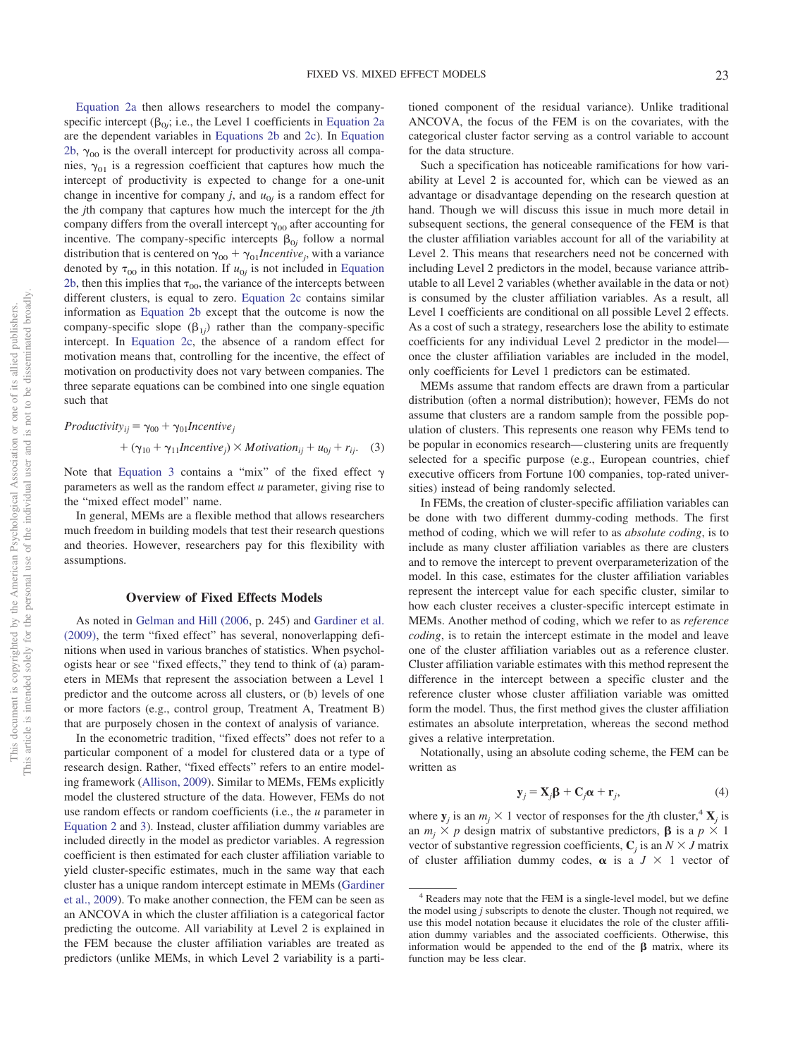[Equation 2a](#page-2-1) then allows researchers to model the companyspecific intercept  $(\beta_{0j}; i.e.,$  the Level 1 coefficients in [Equation 2a](#page-2-1) are the dependent variables in [Equations 2b](#page-2-2) and [2c\)](#page-2-3). In [Equation](#page-2-2) [2b,](#page-2-2)  $\gamma_{00}$  is the overall intercept for productivity across all companies,  $\gamma_{01}$  is a regression coefficient that captures how much the intercept of productivity is expected to change for a one-unit change in incentive for company *j*, and  $u_{0j}$  is a random effect for the *j*th company that captures how much the intercept for the *j*th company differs from the overall intercept  $\gamma_{00}$  after accounting for incentive. The company-specific intercepts  $\beta_{0j}$  follow a normal distribution that is centered on  $\gamma_{00} + \gamma_{01}$ *Incentive<sub>j</sub>*, with a variance denoted by  $\tau_{00}$  in this notation. If  $u_{0j}$  is not included in [Equation](#page-2-2) [2b,](#page-2-2) then this implies that  $\tau_{00}$ , the variance of the intercepts between different clusters, is equal to zero. [Equation 2c](#page-2-3) contains similar information as [Equation 2b](#page-2-2) except that the outcome is now the company-specific slope  $(\beta_{1j})$  rather than the company-specific intercept. In [Equation 2c,](#page-2-3) the absence of a random effect for motivation means that, controlling for the incentive, the effect of motivation on productivity does not vary between companies. The three separate equations can be combined into one single equation such that

<span id="page-3-0"></span> $Productivity_{ij} = \gamma_{00} + \gamma_{01}$ *Incentive<sub>j</sub>* 

+ 
$$
(\gamma_{10} + \gamma_{11} \text{Incentive}_j) \times \text{Motivation}_{ij} + u_{0j} + r_{ij}.
$$
 (3)

Note that [Equation 3](#page-3-0) contains a "mix" of the fixed effect  $\gamma$ parameters as well as the random effect *u* parameter, giving rise to the "mixed effect model" name.

In general, MEMs are a flexible method that allows researchers much freedom in building models that test their research questions and theories. However, researchers pay for this flexibility with assumptions.

## **Overview of Fixed Effects Models**

As noted in [Gelman and Hill \(2006,](#page-13-11) p. 245) and [Gardiner et al.](#page-13-7) [\(2009\),](#page-13-7) the term "fixed effect" has several, nonoverlapping definitions when used in various branches of statistics. When psychologists hear or see "fixed effects," they tend to think of (a) parameters in MEMs that represent the association between a Level 1 predictor and the outcome across all clusters, or (b) levels of one or more factors (e.g., control group, Treatment A, Treatment B) that are purposely chosen in the context of analysis of variance.

In the econometric tradition, "fixed effects" does not refer to a particular component of a model for clustered data or a type of research design. Rather, "fixed effects" refers to an entire modeling framework [\(Allison, 2009\)](#page-12-0). Similar to MEMs, FEMs explicitly model the clustered structure of the data. However, FEMs do not use random effects or random coefficients (i.e., the *u* parameter in [Equation 2](#page-2-1) and [3\)](#page-3-0). Instead, cluster affiliation dummy variables are included directly in the model as predictor variables. A regression coefficient is then estimated for each cluster affiliation variable to yield cluster-specific estimates, much in the same way that each cluster has a unique random intercept estimate in MEMs [\(Gardiner](#page-13-7) [et al., 2009\)](#page-13-7). To make another connection, the FEM can be seen as an ANCOVA in which the cluster affiliation is a categorical factor predicting the outcome. All variability at Level 2 is explained in the FEM because the cluster affiliation variables are treated as predictors (unlike MEMs, in which Level 2 variability is a partitioned component of the residual variance). Unlike traditional ANCOVA, the focus of the FEM is on the covariates, with the categorical cluster factor serving as a control variable to account for the data structure.

Such a specification has noticeable ramifications for how variability at Level 2 is accounted for, which can be viewed as an advantage or disadvantage depending on the research question at hand. Though we will discuss this issue in much more detail in subsequent sections, the general consequence of the FEM is that the cluster affiliation variables account for all of the variability at Level 2. This means that researchers need not be concerned with including Level 2 predictors in the model, because variance attributable to all Level 2 variables (whether available in the data or not) is consumed by the cluster affiliation variables. As a result, all Level 1 coefficients are conditional on all possible Level 2 effects. As a cost of such a strategy, researchers lose the ability to estimate coefficients for any individual Level 2 predictor in the model once the cluster affiliation variables are included in the model, only coefficients for Level 1 predictors can be estimated.

MEMs assume that random effects are drawn from a particular distribution (often a normal distribution); however, FEMs do not assume that clusters are a random sample from the possible population of clusters. This represents one reason why FEMs tend to be popular in economics research— clustering units are frequently selected for a specific purpose (e.g., European countries, chief executive officers from Fortune 100 companies, top-rated universities) instead of being randomly selected.

In FEMs, the creation of cluster-specific affiliation variables can be done with two different dummy-coding methods. The first method of coding, which we will refer to as *absolute coding*, is to include as many cluster affiliation variables as there are clusters and to remove the intercept to prevent overparameterization of the model. In this case, estimates for the cluster affiliation variables represent the intercept value for each specific cluster, similar to how each cluster receives a cluster-specific intercept estimate in MEMs. Another method of coding, which we refer to as *reference coding*, is to retain the intercept estimate in the model and leave one of the cluster affiliation variables out as a reference cluster. Cluster affiliation variable estimates with this method represent the difference in the intercept between a specific cluster and the reference cluster whose cluster affiliation variable was omitted form the model. Thus, the first method gives the cluster affiliation estimates an absolute interpretation, whereas the second method gives a relative interpretation.

Notationally, using an absolute coding scheme, the FEM can be written as

$$
\mathbf{y}_{j} = \mathbf{X}_{j} \mathbf{\beta} + \mathbf{C}_{j} \alpha + \mathbf{r}_{j}, \tag{4}
$$

<span id="page-3-1"></span>where  $\mathbf{y}_j$  is an  $m_j \times 1$  vector of responses for the *j*th cluster,<sup>4</sup>  $\mathbf{X}_j$  is an  $m_j \times p$  design matrix of substantive predictors,  $\beta$  is a  $p \times 1$ vector of substantive regression coefficients,  $C_j$  is an  $N \times J$  matrix of cluster affiliation dummy codes,  $\alpha$  is a  $J \times 1$  vector of

<sup>4</sup> Readers may note that the FEM is a single-level model, but we define the model using *j* subscripts to denote the cluster. Though not required, we use this model notation because it elucidates the role of the cluster affiliation dummy variables and the associated coefficients. Otherwise, this information would be appended to the end of the  $\beta$  matrix, where its function may be less clear.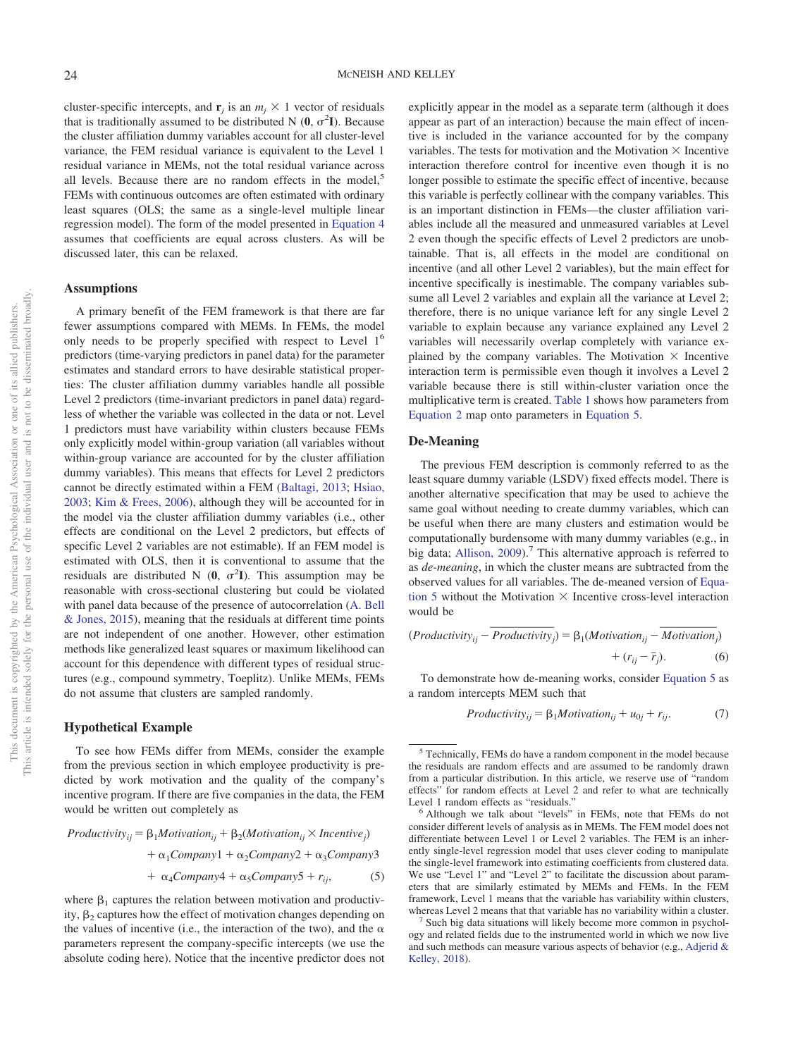cluster-specific intercepts, and  $\mathbf{r}_j$  is an  $m_j \times 1$  vector of residuals that is traditionally assumed to be distributed N  $(0, \sigma^2 I)$ . Because the cluster affiliation dummy variables account for all cluster-level variance, the FEM residual variance is equivalent to the Level 1 residual variance in MEMs, not the total residual variance across all levels. Because there are no random effects in the model.<sup>5</sup> FEMs with continuous outcomes are often estimated with ordinary least squares (OLS; the same as a single-level multiple linear regression model). The form of the model presented in [Equation 4](#page-3-1) assumes that coefficients are equal across clusters. As will be discussed later, this can be relaxed.

#### **Assumptions**

A primary benefit of the FEM framework is that there are far fewer assumptions compared with MEMs. In FEMs, the model only needs to be properly specified with respect to Level 1<sup>6</sup> predictors (time-varying predictors in panel data) for the parameter estimates and standard errors to have desirable statistical properties: The cluster affiliation dummy variables handle all possible Level 2 predictors (time-invariant predictors in panel data) regardless of whether the variable was collected in the data or not. Level 1 predictors must have variability within clusters because FEMs only explicitly model within-group variation (all variables without within-group variance are accounted for by the cluster affiliation dummy variables). This means that effects for Level 2 predictors cannot be directly estimated within a FEM [\(Baltagi, 2013;](#page-13-12) [Hsiao,](#page-14-20) [2003;](#page-14-20) [Kim & Frees, 2006\)](#page-14-18), although they will be accounted for in the model via the cluster affiliation dummy variables (i.e., other effects are conditional on the Level 2 predictors, but effects of specific Level 2 variables are not estimable). If an FEM model is estimated with OLS, then it is conventional to assume that the residuals are distributed N  $(0, \sigma^2 I)$ . This assumption may be reasonable with cross-sectional clustering but could be violated with panel data because of the presence of autocorrelation [\(A. Bell](#page-13-3) [& Jones, 2015\)](#page-13-3), meaning that the residuals at different time points are not independent of one another. However, other estimation methods like generalized least squares or maximum likelihood can account for this dependence with different types of residual structures (e.g., compound symmetry, Toeplitz). Unlike MEMs, FEMs do not assume that clusters are sampled randomly.

## **Hypothetical Example**

To see how FEMs differ from MEMs, consider the example from the previous section in which employee productivity is predicted by work motivation and the quality of the company's incentive program. If there are five companies in the data, the FEM would be written out completely as

<span id="page-4-0"></span> $Productivity_{ij} = \beta_1 Motivation_{ij} + \beta_2(Motivation_{ij} \times Incentive_j)$  $+\alpha_1 \text{Company1} + \alpha_2 \text{Company2} + \alpha_3 \text{Company3}$ 

$$
+ \alpha_4 Company4 + \alpha_5 Company5 + r_{ij}, \qquad (5)
$$

where  $\beta_1$  captures the relation between motivation and productivity,  $\beta_2$  captures how the effect of motivation changes depending on the values of incentive (i.e., the interaction of the two), and the  $\alpha$ parameters represent the company-specific intercepts (we use the absolute coding here). Notice that the incentive predictor does not

explicitly appear in the model as a separate term (although it does appear as part of an interaction) because the main effect of incentive is included in the variance accounted for by the company variables. The tests for motivation and the Motivation  $\times$  Incentive interaction therefore control for incentive even though it is no longer possible to estimate the specific effect of incentive, because this variable is perfectly collinear with the company variables. This is an important distinction in FEMs—the cluster affiliation variables include all the measured and unmeasured variables at Level 2 even though the specific effects of Level 2 predictors are unobtainable. That is, all effects in the model are conditional on incentive (and all other Level 2 variables), but the main effect for incentive specifically is inestimable. The company variables subsume all Level 2 variables and explain all the variance at Level 2; therefore, there is no unique variance left for any single Level 2 variable to explain because any variance explained any Level 2 variables will necessarily overlap completely with variance explained by the company variables. The Motivation  $\times$  Incentive interaction term is permissible even though it involves a Level 2 variable because there is still within-cluster variation once the multiplicative term is created. [Table 1](#page-5-0) shows how parameters from [Equation 2](#page-2-1) map onto parameters in [Equation 5.](#page-4-0)

#### **De-Meaning**

The previous FEM description is commonly referred to as the least square dummy variable (LSDV) fixed effects model. There is another alternative specification that may be used to achieve the same goal without needing to create dummy variables, which can be useful when there are many clusters and estimation would be computationally burdensome with many dummy variables (e.g., in big data; Allison,  $2009$ ).<sup>7</sup> This alternative approach is referred to as *de-meaning*, in which the cluster means are subtracted from the observed values for all variables. The de-meaned version of [Equa](#page-4-0)[tion 5](#page-4-0) without the Motivation  $\times$  Incentive cross-level interaction would be ame goal without needing to<br>
be useful when there are man<br>
computationally burdensome<br>
big data; Allison, 2009).<sup>7</sup> Th:<br> *Bi de-meaning*, in which the c<br>
bbserved values for all variab<br>
ion 5 without the Motivation<br>
would dusters and estimation would<br>many dummy variables (e.g.,<br>ternative approach is referred<br>er means are subtracted from<br>The de-meaned version of Equation<br>Incentive cross-level interaction<br> $β_1(Motivation_{ij} - Motivation + (r_{ij} - \bar{r}_j).$ 

<span id="page-4-2"></span>
$$
(Productivity_{ij} - Productivity_j) = \beta_1(Motivation_{ij} - Motivation_j) + (r_{ij} - \bar{r}_j). \tag{6}
$$

<span id="page-4-1"></span>To demonstrate how de-meaning works, consider [Equation 5](#page-4-0) as a random intercepts MEM such that

$$
Productivity_{ij} = \beta_1 Motivation_{ij} + u_{0j} + r_{ij}.
$$
 (7)

<sup>5</sup> Technically, FEMs do have a random component in the model because the residuals are random effects and are assumed to be randomly drawn from a particular distribution. In this article, we reserve use of "random effects" for random effects at Level 2 and refer to what are technically

Level 1 random effects as "residuals."<br><sup>6</sup> Although we talk about "levels" in FEMs, note that FEMs do not consider different levels of analysis as in MEMs. The FEM model does not differentiate between Level 1 or Level 2 variables. The FEM is an inherently single-level regression model that uses clever coding to manipulate the single-level framework into estimating coefficients from clustered data. We use "Level 1" and "Level 2" to facilitate the discussion about parameters that are similarly estimated by MEMs and FEMs. In the FEM framework, Level 1 means that the variable has variability within clusters, whereas Level 2 means that that variable has no variability within a cluster.<br><sup>7</sup> Such big data situations will likely become more common in psychol-

ogy and related fields due to the instrumented world in which we now live and such methods can measure various aspects of behavior (e.g., [Adjerid &](#page-12-1) [Kelley, 2018\)](#page-12-1).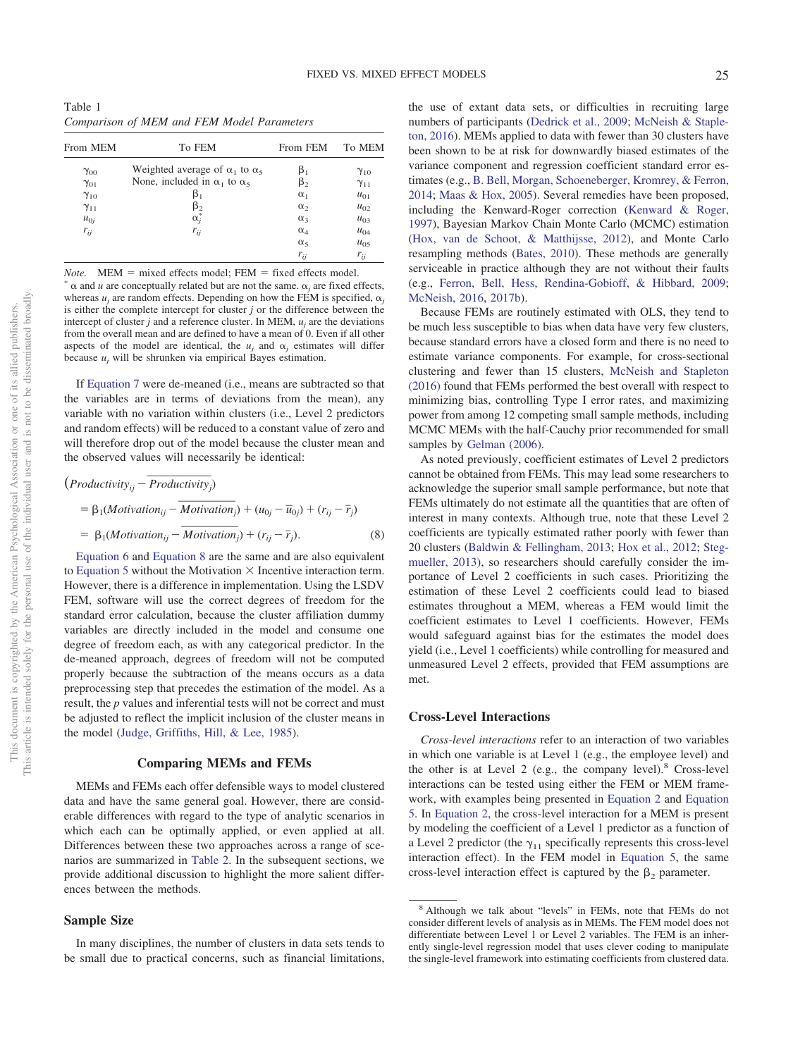<span id="page-5-0"></span>Table 1 *Comparison of MEM and FEM Model Parameters*

| From MEM      | To FEM                                       | From FEM     | To MEM        |
|---------------|----------------------------------------------|--------------|---------------|
| $\gamma_{00}$ | Weighted average of $\alpha_1$ to $\alpha_5$ |              | $\gamma_{10}$ |
| $\gamma_{01}$ | None, included in $\alpha_1$ to $\alpha_5$   | β,           | $\gamma_{11}$ |
| $\gamma_{10}$ | β,                                           | $\alpha_1$   | $u_{01}$      |
| $\gamma_{11}$ | $\beta_{2}$                                  | $\alpha_2$   | $u_{02}$      |
| $u_{0j}$      | $\alpha_i^*$                                 | $\alpha_{3}$ | $u_{03}$      |
| $r_{ij}$      | $r_{ij}$                                     | $\alpha_4$   | $u_{04}$      |
|               |                                              | $\alpha_{5}$ | $u_{05}$      |
|               |                                              | $r_{ij}$     | $r_{ij}$      |

*Note.* MEM = mixed effects model; FEM = fixed effects model.  $\alpha$  and *u* are conceptually related but are not the same.  $\alpha$ , are fixed effects, whereas  $u_i$  are random effects. Depending on how the FEM is specified,  $\alpha_i$ is either the complete intercept for cluster *j* or the difference between the intercept of cluster  $j$  and a reference cluster. In MEM,  $u_j$  are the deviations from the overall mean and are defined to have a mean of 0. Even if all other aspects of the model are identical, the  $u_i$  and  $\alpha_j$  estimates will differ because  $u_i$  will be shrunken via empirical Bayes estimation.

If [Equation 7](#page-4-1) were de-meaned (i.e., means are subtracted so that the variables are in terms of deviations from the mean), any variable with no variation within clusters (i.e., Level 2 predictors and random effects) will be reduced to a constant value of zero and will therefore drop out of the model because the cluster mean and the observed values will necessarily be identical: *Production 7* were de-mean<br> *Production 7* were de-mean<br> *Production 7* were de-mean<br> *Productivity*<br> *Productivity<sub>ij</sub>* – *Productivity*<br> *Productivity<sub>ij</sub>* – *Productivity*<br> *Productivity<sub>ij</sub>* – *Productivity*<br> *Produ* ariables are in terms of de<br>ble with no variation within c<br>undom effects) will be reduced<br>nerefore drop out of the mode<br>served values will necessaril<br>luctivity<sub>ij</sub> – *Productivity*<sub>j</sub>)<br> $\beta_1(Motivation_{ij} - Motivation$ <br> $\beta_1(Motivation_{ij} - Motivation$ 

<span id="page-5-1"></span>Function of the function 
$$
V = \mu
$$
 and  $V = \mu$  is the product of the model because the cluster mean and the observed values will necessarily be identical:

\n
$$
(Productivity_{ij} - Productivity_{j})
$$

\n
$$
= \beta_{1}(Motivation_{ij} - Motivation_{j}) + (u_{0j} - \overline{u}_{0j}) + (r_{ij} - \overline{r}_{j})
$$

\n
$$
= \beta_{1}(Motivation_{ij} - Motivation_{j}) + (r_{ij} - \overline{r}_{j}).
$$

\n(8)

\nEquation 6 and Equation 8 are the same and are also equivalent to Equation 5 without the Motivation  $\times$  Incentive interaction term.

[Equation 6](#page-4-2) and [Equation 8](#page-5-1) are the same and are also equivalent to [Equation 5](#page-4-0) without the Motivation  $\times$  Incentive interaction term. However, there is a difference in implementation. Using the LSDV FEM, software will use the correct degrees of freedom for the standard error calculation, because the cluster affiliation dummy variables are directly included in the model and consume one degree of freedom each, as with any categorical predictor. In the de-meaned approach, degrees of freedom will not be computed properly because the subtraction of the means occurs as a data preprocessing step that precedes the estimation of the model. As a result, the *p* values and inferential tests will not be correct and must be adjusted to reflect the implicit inclusion of the cluster means in the model [\(Judge, Griffiths, Hill, & Lee, 1985\)](#page-14-21).

#### **Comparing MEMs and FEMs**

MEMs and FEMs each offer defensible ways to model clustered data and have the same general goal. However, there are considerable differences with regard to the type of analytic scenarios in which each can be optimally applied, or even applied at all. Differences between these two approaches across a range of scenarios are summarized in [Table 2.](#page-6-0) In the subsequent sections, we provide additional discussion to highlight the more salient differences between the methods.

### **Sample Size**

In many disciplines, the number of clusters in data sets tends to be small due to practical concerns, such as financial limitations, the use of extant data sets, or difficulties in recruiting large numbers of participants [\(Dedrick et al., 2009;](#page-13-13) [McNeish & Staple](#page-14-12)[ton, 2016\)](#page-14-12). MEMs applied to data with fewer than 30 clusters have been shown to be at risk for downwardly biased estimates of the variance component and regression coefficient standard error estimates (e.g., [B. Bell, Morgan, Schoeneberger, Kromrey, & Ferron,](#page-13-14) [2014;](#page-13-14) [Maas & Hox, 2005\)](#page-14-6). Several remedies have been proposed, including the Kenward-Roger correction [\(Kenward & Roger,](#page-14-22) [1997\)](#page-14-22), Bayesian Markov Chain Monte Carlo (MCMC) estimation [\(Hox, van de Schoot, & Matthijsse, 2012\)](#page-14-23), and Monte Carlo resampling methods [\(Bates, 2010\)](#page-13-15). These methods are generally serviceable in practice although they are not without their faults (e.g., [Ferron, Bell, Hess, Rendina-Gobioff, & Hibbard, 2009;](#page-13-16) [McNeish, 2016,](#page-14-24) [2017b\)](#page-14-25).

Because FEMs are routinely estimated with OLS, they tend to be much less susceptible to bias when data have very few clusters, because standard errors have a closed form and there is no need to estimate variance components. For example, for cross-sectional clustering and fewer than 15 clusters, [McNeish and Stapleton](#page-14-12) [\(2016\)](#page-14-12) found that FEMs performed the best overall with respect to minimizing bias, controlling Type I error rates, and maximizing power from among 12 competing small sample methods, including MCMC MEMs with the half-Cauchy prior recommended for small samples by [Gelman \(2006\).](#page-13-17)

As noted previously, coefficient estimates of Level 2 predictors cannot be obtained from FEMs. This may lead some researchers to acknowledge the superior small sample performance, but note that FEMs ultimately do not estimate all the quantities that are often of interest in many contexts. Although true, note that these Level 2 coefficients are typically estimated rather poorly with fewer than 20 clusters [\(Baldwin & Fellingham, 2013;](#page-13-18) [Hox et al., 2012;](#page-14-23) [Steg](#page-14-26)[mueller, 2013\)](#page-14-26), so researchers should carefully consider the importance of Level 2 coefficients in such cases. Prioritizing the estimation of these Level 2 coefficients could lead to biased estimates throughout a MEM, whereas a FEM would limit the coefficient estimates to Level 1 coefficients. However, FEMs would safeguard against bias for the estimates the model does yield (i.e., Level 1 coefficients) while controlling for measured and unmeasured Level 2 effects, provided that FEM assumptions are met.

## **Cross-Level Interactions**

*Cross-level interactions* refer to an interaction of two variables in which one variable is at Level 1 (e.g., the employee level) and the other is at Level 2 (e.g., the company level). $8$  Cross-level interactions can be tested using either the FEM or MEM framework, with examples being presented in [Equation 2](#page-2-1) and [Equation](#page-4-0) [5.](#page-4-0) In [Equation 2,](#page-2-1) the cross-level interaction for a MEM is present by modeling the coefficient of a Level 1 predictor as a function of a Level 2 predictor (the  $\gamma_{11}$  specifically represents this cross-level interaction effect). In the FEM model in [Equation 5,](#page-4-0) the same cross-level interaction effect is captured by the  $\beta_2$  parameter.

<sup>8</sup> Although we talk about "levels" in FEMs, note that FEMs do not consider different levels of analysis as in MEMs. The FEM model does not differentiate between Level 1 or Level 2 variables. The FEM is an inherently single-level regression model that uses clever coding to manipulate the single-level framework into estimating coefficients from clustered data.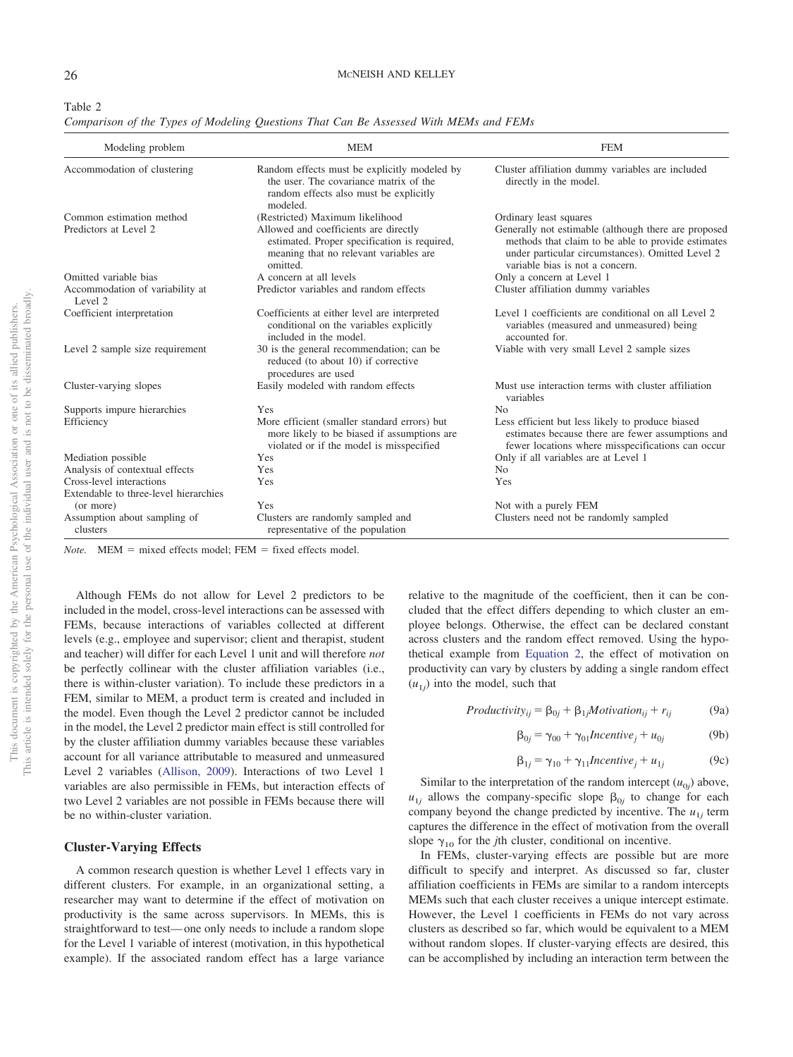<span id="page-6-0"></span>

| v.<br>۰, |  |
|----------|--|
|----------|--|

*Comparison of the Types of Modeling Questions That Can Be Assessed With MEMs and FEMs*

| Modeling problem                           | <b>MEM</b>                                                                                                                                   | <b>FEM</b>                                                                                                                                                                                        |
|--------------------------------------------|----------------------------------------------------------------------------------------------------------------------------------------------|---------------------------------------------------------------------------------------------------------------------------------------------------------------------------------------------------|
| Accommodation of clustering                | Random effects must be explicitly modeled by<br>the user. The covariance matrix of the<br>random effects also must be explicitly<br>modeled. | Cluster affiliation dummy variables are included<br>directly in the model.                                                                                                                        |
| Common estimation method                   | (Restricted) Maximum likelihood                                                                                                              | Ordinary least squares                                                                                                                                                                            |
| Predictors at Level 2                      | Allowed and coefficients are directly<br>estimated. Proper specification is required,<br>meaning that no relevant variables are<br>omitted.  | Generally not estimable (although there are proposed<br>methods that claim to be able to provide estimates<br>under particular circumstances). Omitted Level 2<br>variable bias is not a concern. |
| Omitted variable bias                      | A concern at all levels                                                                                                                      | Only a concern at Level 1                                                                                                                                                                         |
| Accommodation of variability at<br>Level 2 | Predictor variables and random effects                                                                                                       | Cluster affiliation dummy variables                                                                                                                                                               |
| Coefficient interpretation                 | Coefficients at either level are interpreted<br>conditional on the variables explicitly<br>included in the model.                            | Level 1 coefficients are conditional on all Level 2<br>variables (measured and unmeasured) being<br>accounted for.                                                                                |
| Level 2 sample size requirement            | 30 is the general recommendation; can be<br>reduced (to about 10) if corrective<br>procedures are used                                       | Viable with very small Level 2 sample sizes                                                                                                                                                       |
| Cluster-varying slopes                     | Easily modeled with random effects                                                                                                           | Must use interaction terms with cluster affiliation<br>variables                                                                                                                                  |
| Supports impure hierarchies                | Yes                                                                                                                                          | No                                                                                                                                                                                                |
| Efficiency                                 | More efficient (smaller standard errors) but<br>more likely to be biased if assumptions are<br>violated or if the model is misspecified      | Less efficient but less likely to produce biased<br>estimates because there are fewer assumptions and<br>fewer locations where misspecifications can occur                                        |
| Mediation possible                         | Yes                                                                                                                                          | Only if all variables are at Level 1                                                                                                                                                              |
| Analysis of contextual effects             | Yes                                                                                                                                          | N <sub>0</sub>                                                                                                                                                                                    |
| Cross-level interactions                   | Yes                                                                                                                                          | Yes                                                                                                                                                                                               |
| Extendable to three-level hierarchies      |                                                                                                                                              |                                                                                                                                                                                                   |
| (or more)                                  | Yes                                                                                                                                          | Not with a purely FEM                                                                                                                                                                             |
| Assumption about sampling of<br>clusters   | Clusters are randomly sampled and<br>representative of the population                                                                        | Clusters need not be randomly sampled                                                                                                                                                             |

*Note.* MEM = mixed effects model; FEM = fixed effects model.

Although FEMs do not allow for Level 2 predictors to be included in the model, cross-level interactions can be assessed with FEMs, because interactions of variables collected at different levels (e.g., employee and supervisor; client and therapist, student and teacher) will differ for each Level 1 unit and will therefore *not* be perfectly collinear with the cluster affiliation variables (i.e., there is within-cluster variation). To include these predictors in a FEM, similar to MEM, a product term is created and included in the model. Even though the Level 2 predictor cannot be included in the model, the Level 2 predictor main effect is still controlled for by the cluster affiliation dummy variables because these variables account for all variance attributable to measured and unmeasured Level 2 variables [\(Allison, 2009\)](#page-12-0). Interactions of two Level 1 variables are also permissible in FEMs, but interaction effects of two Level 2 variables are not possible in FEMs because there will be no within-cluster variation.

#### **Cluster-Varying Effects**

A common research question is whether Level 1 effects vary in different clusters. For example, in an organizational setting, a researcher may want to determine if the effect of motivation on productivity is the same across supervisors. In MEMs, this is straightforward to test— one only needs to include a random slope for the Level 1 variable of interest (motivation, in this hypothetical example). If the associated random effect has a large variance relative to the magnitude of the coefficient, then it can be concluded that the effect differs depending to which cluster an employee belongs. Otherwise, the effect can be declared constant across clusters and the random effect removed. Using the hypothetical example from [Equation 2,](#page-2-1) the effect of motivation on productivity can vary by clusters by adding a single random effect  $(u_{1j})$  into the model, such that

$$
Productivity_{ij} = \beta_{0j} + \beta_{1j} Motivation_{ij} + r_{ij}
$$
 (9a)

$$
\beta_{0j} = \gamma_{00} + \gamma_{01} \text{Incentive}_j + u_{0j} \tag{9b}
$$

$$
\beta_{1j} = \gamma_{10} + \gamma_{11} \text{Incentive}_j + u_{1j} \tag{9c}
$$

Similar to the interpretation of the random intercept  $(u_{0j})$  above,  $u_{1j}$  allows the company-specific slope  $\beta_{0j}$  to change for each company beyond the change predicted by incentive. The  $u_{1i}$  term captures the difference in the effect of motivation from the overall slope  $\gamma_{10}$  for the *j*th cluster, conditional on incentive.

In FEMs, cluster-varying effects are possible but are more difficult to specify and interpret. As discussed so far, cluster affiliation coefficients in FEMs are similar to a random intercepts MEMs such that each cluster receives a unique intercept estimate. However, the Level 1 coefficients in FEMs do not vary across clusters as described so far, which would be equivalent to a MEM without random slopes. If cluster-varying effects are desired, this can be accomplished by including an interaction term between the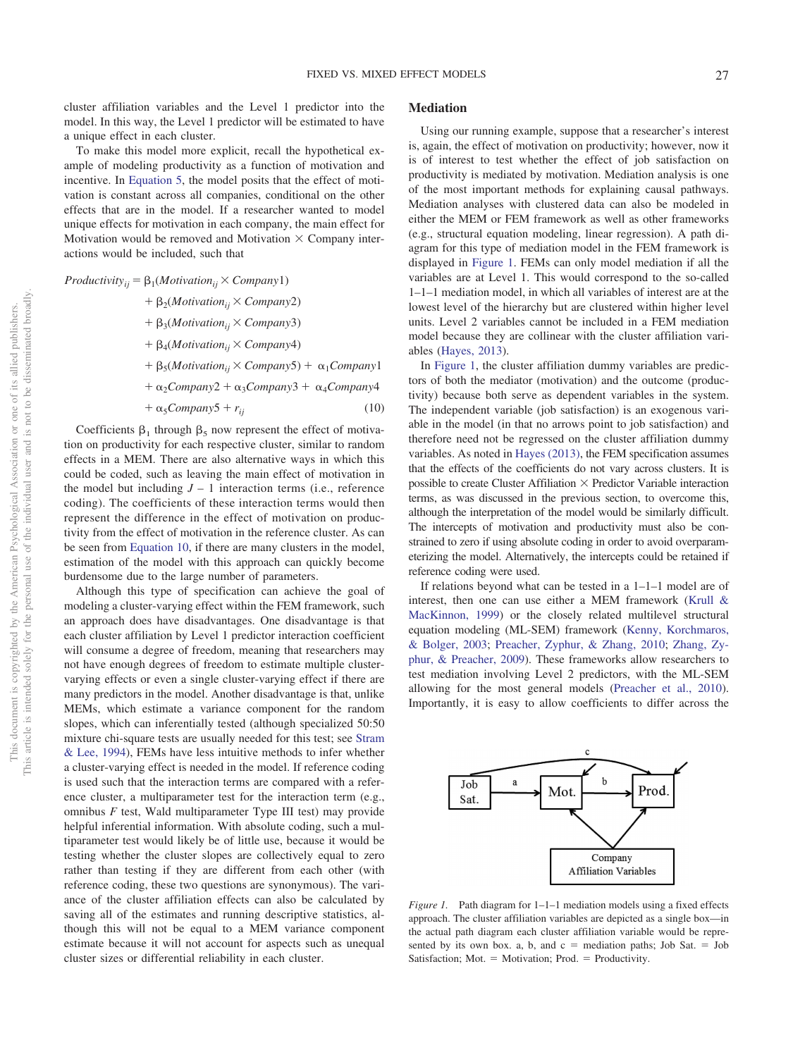cluster affiliation variables and the Level 1 predictor into the model. In this way, the Level 1 predictor will be estimated to have a unique effect in each cluster.

To make this model more explicit, recall the hypothetical example of modeling productivity as a function of motivation and incentive. In [Equation 5,](#page-4-0) the model posits that the effect of motivation is constant across all companies, conditional on the other effects that are in the model. If a researcher wanted to model unique effects for motivation in each company, the main effect for Motivation would be removed and Motivation  $\times$  Company interactions would be included, such that

<span id="page-7-0"></span> $Productivity_{ij} = \beta_1(Motivation_{ij} \times Company1)$ 

 2(*Motivationij Company*2) 3(*Motivationij Company*3) 4(*Motivationij Company*4)  $+ \beta_5(Motivation_{ii} \times Company5) + \alpha_1 Company1$  $+\alpha_2 \text{Company2} + \alpha_3 \text{Company3} + \alpha_4 \text{Company4}$  $+\alpha_5Company5 + r_{ii}$  (10)

Coefficients  $\beta_1$  through  $\beta_5$  now represent the effect of motivation on productivity for each respective cluster, similar to random effects in a MEM. There are also alternative ways in which this could be coded, such as leaving the main effect of motivation in the model but including  $J - 1$  interaction terms (i.e., reference coding). The coefficients of these interaction terms would then represent the difference in the effect of motivation on productivity from the effect of motivation in the reference cluster. As can be seen from [Equation 10,](#page-7-0) if there are many clusters in the model, estimation of the model with this approach can quickly become burdensome due to the large number of parameters.

Although this type of specification can achieve the goal of modeling a cluster-varying effect within the FEM framework, such an approach does have disadvantages. One disadvantage is that each cluster affiliation by Level 1 predictor interaction coefficient will consume a degree of freedom, meaning that researchers may not have enough degrees of freedom to estimate multiple clustervarying effects or even a single cluster-varying effect if there are many predictors in the model. Another disadvantage is that, unlike MEMs, which estimate a variance component for the random slopes, which can inferentially tested (although specialized 50:50 mixture chi-square tests are usually needed for this test; see [Stram](#page-15-4) [& Lee, 1994\)](#page-15-4), FEMs have less intuitive methods to infer whether a cluster-varying effect is needed in the model. If reference coding is used such that the interaction terms are compared with a reference cluster, a multiparameter test for the interaction term (e.g., omnibus *F* test, Wald multiparameter Type III test) may provide helpful inferential information. With absolute coding, such a multiparameter test would likely be of little use, because it would be testing whether the cluster slopes are collectively equal to zero rather than testing if they are different from each other (with reference coding, these two questions are synonymous). The variance of the cluster affiliation effects can also be calculated by saving all of the estimates and running descriptive statistics, although this will not be equal to a MEM variance component estimate because it will not account for aspects such as unequal cluster sizes or differential reliability in each cluster.

## **Mediation**

Using our running example, suppose that a researcher's interest is, again, the effect of motivation on productivity; however, now it is of interest to test whether the effect of job satisfaction on productivity is mediated by motivation. Mediation analysis is one of the most important methods for explaining causal pathways. Mediation analyses with clustered data can also be modeled in either the MEM or FEM framework as well as other frameworks (e.g., structural equation modeling, linear regression). A path diagram for this type of mediation model in the FEM framework is displayed in [Figure 1.](#page-7-1) FEMs can only model mediation if all the variables are at Level 1. This would correspond to the so-called 1–1–1 mediation model, in which all variables of interest are at the lowest level of the hierarchy but are clustered within higher level units. Level 2 variables cannot be included in a FEM mediation model because they are collinear with the cluster affiliation variables [\(Hayes, 2013\)](#page-13-19).

In [Figure 1,](#page-7-1) the cluster affiliation dummy variables are predictors of both the mediator (motivation) and the outcome (productivity) because both serve as dependent variables in the system. The independent variable (job satisfaction) is an exogenous variable in the model (in that no arrows point to job satisfaction) and therefore need not be regressed on the cluster affiliation dummy variables. As noted in [Hayes \(2013\),](#page-13-19) the FEM specification assumes that the effects of the coefficients do not vary across clusters. It is possible to create Cluster Affiliation  $\times$  Predictor Variable interaction terms, as was discussed in the previous section, to overcome this, although the interpretation of the model would be similarly difficult. The intercepts of motivation and productivity must also be constrained to zero if using absolute coding in order to avoid overparameterizing the model. Alternatively, the intercepts could be retained if reference coding were used.

If relations beyond what can be tested in a 1–1–1 model are of interest, then one can use either a MEM framework [\(Krull &](#page-14-27) [MacKinnon, 1999\)](#page-14-27) or the closely related multilevel structural equation modeling (ML-SEM) framework [\(Kenny, Korchmaros,](#page-14-28) [& Bolger, 2003;](#page-14-28) [Preacher, Zyphur, & Zhang, 2010;](#page-14-29) [Zhang, Zy](#page-15-5)[phur, & Preacher, 2009\)](#page-15-5). These frameworks allow researchers to test mediation involving Level 2 predictors, with the ML-SEM allowing for the most general models [\(Preacher et al., 2010\)](#page-14-29). Importantly, it is easy to allow coefficients to differ across the



<span id="page-7-1"></span>*Figure 1.* Path diagram for 1–1–1 mediation models using a fixed effects approach. The cluster affiliation variables are depicted as a single box—in the actual path diagram each cluster affiliation variable would be represented by its own box. a, b, and  $c =$  mediation paths; Job Sat.  $=$  Job Satisfaction; Mot.  $=$  Motivation; Prod.  $=$  Productivity.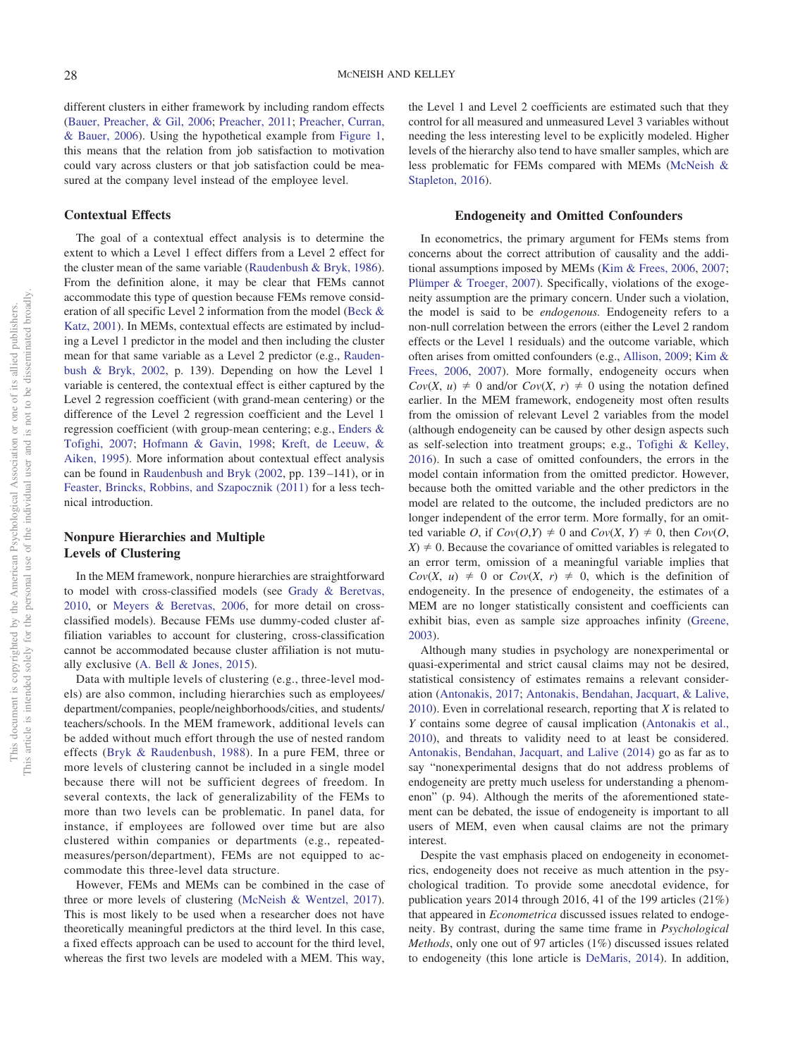different clusters in either framework by including random effects [\(Bauer, Preacher, & Gil, 2006;](#page-13-20) [Preacher, 2011;](#page-14-30) [Preacher, Curran,](#page-14-31) [& Bauer, 2006\)](#page-14-31). Using the hypothetical example from [Figure 1,](#page-7-1) this means that the relation from job satisfaction to motivation could vary across clusters or that job satisfaction could be measured at the company level instead of the employee level.

#### **Contextual Effects**

The goal of a contextual effect analysis is to determine the extent to which a Level 1 effect differs from a Level 2 effect for the cluster mean of the same variable [\(Raudenbush & Bryk, 1986\)](#page-14-32). From the definition alone, it may be clear that FEMs cannot accommodate this type of question because FEMs remove consideration of all specific Level 2 information from the model [\(Beck &](#page-13-21) [Katz, 2001\)](#page-13-21). In MEMs, contextual effects are estimated by including a Level 1 predictor in the model and then including the cluster mean for that same variable as a Level 2 predictor (e.g., [Rauden](#page-14-1)[bush & Bryk, 2002,](#page-14-1) p. 139). Depending on how the Level 1 variable is centered, the contextual effect is either captured by the Level 2 regression coefficient (with grand-mean centering) or the difference of the Level 2 regression coefficient and the Level 1 regression coefficient (with group-mean centering; e.g., [Enders &](#page-13-22) [Tofighi, 2007;](#page-13-22) [Hofmann & Gavin, 1998;](#page-13-23) [Kreft, de Leeuw, &](#page-14-33) [Aiken, 1995\)](#page-14-33). More information about contextual effect analysis can be found in [Raudenbush and Bryk \(2002,](#page-14-1) pp. 139 –141), or in [Feaster, Brincks, Robbins, and Szapocznik \(2011\)](#page-13-24) for a less technical introduction.

# **Nonpure Hierarchies and Multiple Levels of Clustering**

In the MEM framework, nonpure hierarchies are straightforward to model with cross-classified models (see [Grady & Beretvas,](#page-13-25) [2010,](#page-13-25) or [Meyers & Beretvas, 2006,](#page-14-34) for more detail on crossclassified models). Because FEMs use dummy-coded cluster affiliation variables to account for clustering, cross-classification cannot be accommodated because cluster affiliation is not mutually exclusive [\(A. Bell & Jones, 2015\)](#page-13-3).

Data with multiple levels of clustering (e.g., three-level models) are also common, including hierarchies such as employees/ department/companies, people/neighborhoods/cities, and students/ teachers/schools. In the MEM framework, additional levels can be added without much effort through the use of nested random effects [\(Bryk & Raudenbush, 1988\)](#page-13-26). In a pure FEM, three or more levels of clustering cannot be included in a single model because there will not be sufficient degrees of freedom. In several contexts, the lack of generalizability of the FEMs to more than two levels can be problematic. In panel data, for instance, if employees are followed over time but are also clustered within companies or departments (e.g., repeatedmeasures/person/department), FEMs are not equipped to accommodate this three-level data structure.

However, FEMs and MEMs can be combined in the case of three or more levels of clustering [\(McNeish & Wentzel, 2017\)](#page-14-35). This is most likely to be used when a researcher does not have theoretically meaningful predictors at the third level. In this case, a fixed effects approach can be used to account for the third level, whereas the first two levels are modeled with a MEM. This way,

the Level 1 and Level 2 coefficients are estimated such that they control for all measured and unmeasured Level 3 variables without needing the less interesting level to be explicitly modeled. Higher levels of the hierarchy also tend to have smaller samples, which are less problematic for FEMs compared with MEMs [\(McNeish &](#page-14-12) [Stapleton, 2016\)](#page-14-12).

#### **Endogeneity and Omitted Confounders**

In econometrics, the primary argument for FEMs stems from concerns about the correct attribution of causality and the additional assumptions imposed by MEMs [\(Kim & Frees, 2006,](#page-14-18) [2007;](#page-14-19) [Plümper & Troeger, 2007\)](#page-14-36). Specifically, violations of the exogeneity assumption are the primary concern. Under such a violation, the model is said to be *endogenous.* Endogeneity refers to a non-null correlation between the errors (either the Level 2 random effects or the Level 1 residuals) and the outcome variable, which often arises from omitted confounders (e.g., [Allison, 2009;](#page-12-0) [Kim &](#page-14-18) [Frees, 2006,](#page-14-18) [2007\)](#page-14-19). More formally, endogeneity occurs when  $Cov(X, u) \neq 0$  and/or  $Cov(X, r) \neq 0$  using the notation defined earlier. In the MEM framework, endogeneity most often results from the omission of relevant Level 2 variables from the model (although endogeneity can be caused by other design aspects such as self-selection into treatment groups; e.g., [Tofighi & Kelley,](#page-15-6) [2016\)](#page-15-6). In such a case of omitted confounders, the errors in the model contain information from the omitted predictor. However, because both the omitted variable and the other predictors in the model are related to the outcome, the included predictors are no longer independent of the error term. More formally, for an omitted variable *O*, if  $Cov(O,Y) \neq 0$  and  $Cov(X, Y) \neq 0$ , then  $Cov(O, Y)$  $(X) \neq 0$ . Because the covariance of omitted variables is relegated to an error term, omission of a meaningful variable implies that  $Cov(X, u) \neq 0$  or  $Cov(X, r) \neq 0$ , which is the definition of endogeneity. In the presence of endogeneity, the estimates of a MEM are no longer statistically consistent and coefficients can exhibit bias, even as sample size approaches infinity [\(Greene,](#page-13-1) [2003\)](#page-13-1).

Although many studies in psychology are nonexperimental or quasi-experimental and strict causal claims may not be desired, statistical consistency of estimates remains a relevant consideration [\(Antonakis, 2017;](#page-12-2) [Antonakis, Bendahan, Jacquart, & Lalive,](#page-12-3) [2010\)](#page-12-3). Even in correlational research, reporting that *X* is related to *Y* contains some degree of causal implication [\(Antonakis et al.,](#page-12-3) [2010\)](#page-12-3), and threats to validity need to at least be considered. [Antonakis, Bendahan, Jacquart, and Lalive \(2014\)](#page-13-27) go as far as to say "nonexperimental designs that do not address problems of endogeneity are pretty much useless for understanding a phenomenon" (p. 94). Although the merits of the aforementioned statement can be debated, the issue of endogeneity is important to all users of MEM, even when causal claims are not the primary interest.

Despite the vast emphasis placed on endogeneity in econometrics, endogeneity does not receive as much attention in the psychological tradition. To provide some anecdotal evidence, for publication years 2014 through 2016, 41 of the 199 articles (21%) that appeared in *Econometrica* discussed issues related to endogeneity. By contrast, during the same time frame in *Psychological Methods*, only one out of 97 articles (1%) discussed issues related to endogeneity (this lone article is [DeMaris, 2014\)](#page-13-28). In addition,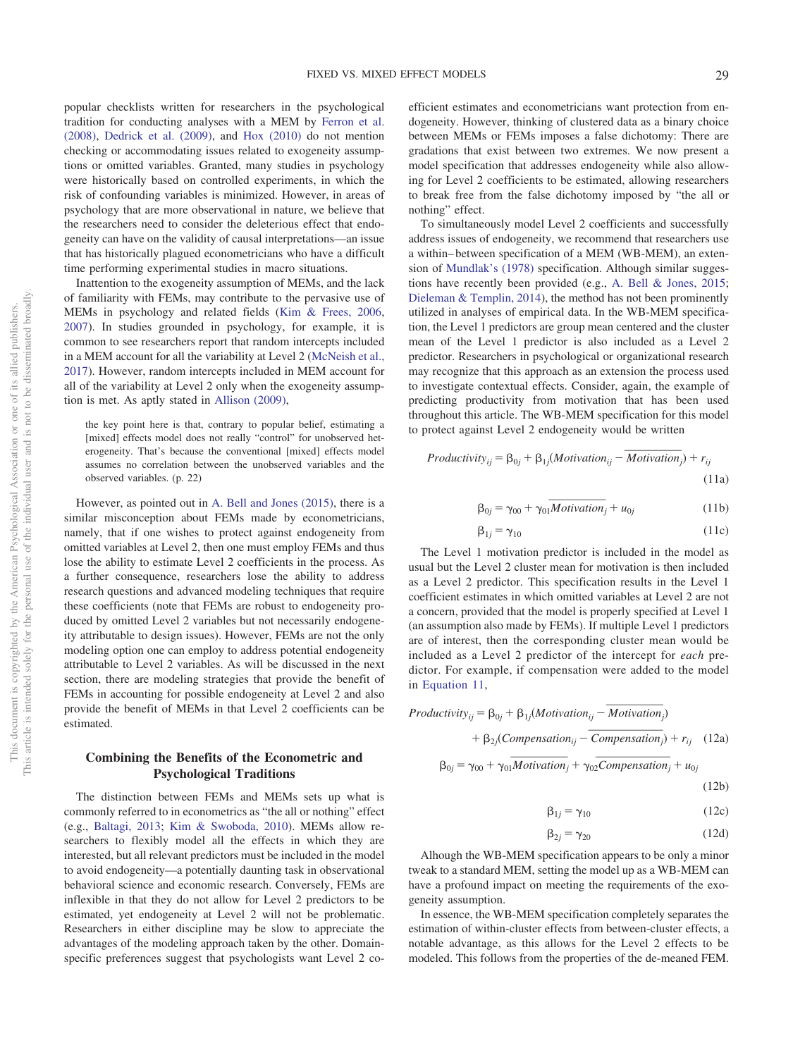popular checklists written for researchers in the psychological tradition for conducting analyses with a MEM by [Ferron et al.](#page-13-29) [\(2008\),](#page-13-29) [Dedrick et al. \(2009\),](#page-13-13) and [Hox \(2010\)](#page-14-0) do not mention checking or accommodating issues related to exogeneity assumptions or omitted variables. Granted, many studies in psychology were historically based on controlled experiments, in which the risk of confounding variables is minimized. However, in areas of psychology that are more observational in nature, we believe that the researchers need to consider the deleterious effect that endogeneity can have on the validity of causal interpretations—an issue that has historically plagued econometricians who have a difficult time performing experimental studies in macro situations.

Inattention to the exogeneity assumption of MEMs, and the lack of familiarity with FEMs, may contribute to the pervasive use of MEMs in psychology and related fields [\(Kim & Frees, 2006,](#page-14-18) [2007\)](#page-14-19). In studies grounded in psychology, for example, it is common to see researchers report that random intercepts included in a MEM account for all the variability at Level 2 [\(McNeish et al.,](#page-14-9) [2017\)](#page-14-9). However, random intercepts included in MEM account for all of the variability at Level 2 only when the exogeneity assumption is met. As aptly stated in [Allison \(2009\),](#page-12-0)

the key point here is that, contrary to popular belief, estimating a [mixed] effects model does not really "control" for unobserved heterogeneity. That's because the conventional [mixed] effects model assumes no correlation between the unobserved variables and the observed variables. (p. 22)

However, as pointed out in [A. Bell and Jones \(2015\),](#page-13-3) there is a similar misconception about FEMs made by econometricians, namely, that if one wishes to protect against endogeneity from omitted variables at Level 2, then one must employ FEMs and thus lose the ability to estimate Level 2 coefficients in the process. As a further consequence, researchers lose the ability to address research questions and advanced modeling techniques that require these coefficients (note that FEMs are robust to endogeneity produced by omitted Level 2 variables but not necessarily endogeneity attributable to design issues). However, FEMs are not the only modeling option one can employ to address potential endogeneity attributable to Level 2 variables. As will be discussed in the next section, there are modeling strategies that provide the benefit of FEMs in accounting for possible endogeneity at Level 2 and also provide the benefit of MEMs in that Level 2 coefficients can be estimated.

# **Combining the Benefits of the Econometric and Psychological Traditions**

The distinction between FEMs and MEMs sets up what is commonly referred to in econometrics as "the all or nothing" effect (e.g., [Baltagi, 2013;](#page-13-12) [Kim & Swoboda, 2010\)](#page-14-37). MEMs allow researchers to flexibly model all the effects in which they are interested, but all relevant predictors must be included in the model to avoid endogeneity—a potentially daunting task in observational behavioral science and economic research. Conversely, FEMs are inflexible in that they do not allow for Level 2 predictors to be estimated, yet endogeneity at Level 2 will not be problematic. Researchers in either discipline may be slow to appreciate the advantages of the modeling approach taken by the other. Domainspecific preferences suggest that psychologists want Level 2 coefficient estimates and econometricians want protection from endogeneity. However, thinking of clustered data as a binary choice between MEMs or FEMs imposes a false dichotomy: There are gradations that exist between two extremes. We now present a model specification that addresses endogeneity while also allowing for Level 2 coefficients to be estimated, allowing researchers to break free from the false dichotomy imposed by "the all or nothing" effect.

To simultaneously model Level 2 coefficients and successfully address issues of endogeneity, we recommend that researchers use a within– between specification of a MEM (WB-MEM), an extension of [Mundlak's \(1978\)](#page-14-38) specification. Although similar suggestions have recently been provided (e.g., [A. Bell & Jones, 2015;](#page-13-3) [Dieleman & Templin, 2014\)](#page-13-30), the method has not been prominently utilized in analyses of empirical data. In the WB-MEM specification, the Level 1 predictors are group mean centered and the cluster mean of the Level 1 predictor is also included as a Level 2 predictor. Researchers in psychological or organizational research may recognize that this approach as an extension the process used to investigate contextual effects. Consider, again, the example of predicting productivity from motivation that has been used throughout this article. The WB-MEM specification for this model to protect against Level 2 endogeneity would be written for is also included as a<br>thological or organizations<br>ach as an extension the process.<br>Consider, again, the e<br>in motivation that has b<br>B-MEM specification for<br>logeneity would be writte<br>*Motivation*<sub>ij</sub> – *Motivation* wity from motivation<br>le. The WB-MEM space 2 endogeneity v<br> $\beta_{0j} + \beta_{1j}$ (*Motivation*<br> $\gamma_{00} + \gamma_{01}$ *Motivation* 

<span id="page-9-0"></span>
$$
Productivity_{ij} = \beta_{0j} + \beta_{1j}(Motivation_{ij} - Motivation_{j}) + r_{ij}
$$
\n(11a)

$$
\beta_{0j} = \gamma_{00} + \gamma_{01} \overline{Motivation_j} + u_{0j} \tag{11b}
$$

$$
\beta_{1j} = \gamma_{10} \tag{11c}
$$

The Level 1 motivation predictor is included in the model as usual but the Level 2 cluster mean for motivation is then included as a Level 2 predictor. This specification results in the Level 1 coefficient estimates in which omitted variables at Level 2 are not a concern, provided that the model is properly specified at Level 1 (an assumption also made by FEMs). If multiple Level 1 predictors are of interest, then the corresponding cluster mean would be included as a Level 2 predictor of the intercept for *each* predictor. For example, if compensation were added to the model in [Equation 11,](#page-9-0) *Motion Commercial Commercial Commercial Commercial By FEMs). If multiple Lever corresponding cluster medictor of the intercept compensation were added Motivation<sub>ij</sub> – <i>Motivation msation<sub>ij</sub>* – *Compensation Compensation Compensation Compensation Compensation Compensation Compensation Compensation Compensation Compensation Compensation*  $k_i + \beta_{1j}$  *(Motivation<sub>ij</sub> – <i>Motivation Compensation i<sub>i</sub>* – *Co Motivation<sub>i</sub>* - *Motivation<sub>i</sub>*<br>*Andel by FEMs). If multiple Level the corresponding cluster measure 2 predictor of the intercept for if compensation were added to*  $β_{1j}(Motivation_{ij} - Motivation_{j})$ *<br><i>Motivation<sub>i</sub>* - *Compensation<sub>j</sub>* 

included as a Level 2 predictor of the intercept for each predictor. For example, if compensation were added to the model in Equation 11,

\n*Productivity*<sub>ij</sub> = 
$$
\beta_{0j} + \beta_{1j}(Motivation_{ij} - Motivation_{j}) + \beta_{2j}(Comparison_{ij} - Composition_{j}) + r_{ij}
$$
 (12a)

\n
$$
\beta_{0j} = \gamma_{00} + \gamma_{01}Motivation_{j} + \gamma_{02}Comparison_{j} + u_{0j}
$$
 (12b)

$$
\beta_{1i} = \gamma_{10} \tag{12c}
$$

$$
\beta_{2j} = \gamma_{20} \tag{12d}
$$

Alhough the WB-MEM specification appears to be only a minor tweak to a standard MEM, setting the model up as a WB-MEM can have a profound impact on meeting the requirements of the exogeneity assumption.

In essence, the WB-MEM specification completely separates the estimation of within-cluster effects from between-cluster effects, a notable advantage, as this allows for the Level 2 effects to be modeled. This follows from the properties of the de-meaned FEM.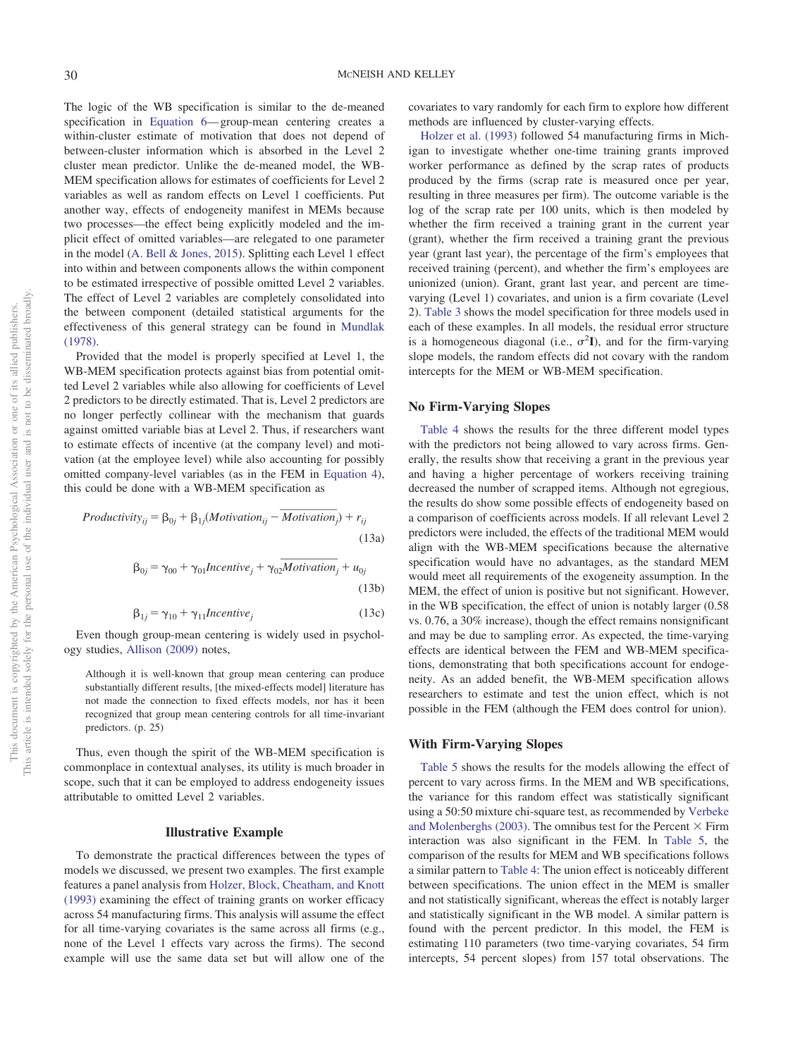The logic of the WB specification is similar to the de-meaned specification in [Equation 6—](#page-4-2) group-mean centering creates a within-cluster estimate of motivation that does not depend of between-cluster information which is absorbed in the Level 2 cluster mean predictor. Unlike the de-meaned model, the WB-MEM specification allows for estimates of coefficients for Level 2 variables as well as random effects on Level 1 coefficients. Put another way, effects of endogeneity manifest in MEMs because two processes—the effect being explicitly modeled and the implicit effect of omitted variables—are relegated to one parameter in the model [\(A. Bell & Jones, 2015\)](#page-13-3). Splitting each Level 1 effect into within and between components allows the within component to be estimated irrespective of possible omitted Level 2 variables. The effect of Level 2 variables are completely consolidated into the between component (detailed statistical arguments for the effectiveness of this general strategy can be found in [Mundlak](#page-14-38) [\(1978\).](#page-14-38)

Provided that the model is properly specified at Level 1, the WB-MEM specification protects against bias from potential omitted Level 2 variables while also allowing for coefficients of Level 2 predictors to be directly estimated. That is, Level 2 predictors are no longer perfectly collinear with the mechanism that guards against omitted variable bias at Level 2. Thus, if researchers want to estimate effects of incentive (at the company level) and motivation (at the employee level) while also accounting for possibly omitted company-level variables (as in the FEM in [Equation 4\)](#page-3-1), this could be done with a WB-MEM specification as mated. That is, Level 2 precise with the mechanism that Level 2. Thus, if research is the mechanism of the company level) while also accounting follows (as in the FEM in Eq. 3-MEM specification as *Motivation*<sub>ij</sub> – *Motiv* by ee level) while also accounting for<br>
vel variables (as in the FEM in Equint a WB-MEM specification as<br>  $\beta_{0j} + \beta_{1j} (Motivation_{ij} - Motivation)$ <br>  $\gamma_{00} + \gamma_{01} Incentive_j + \gamma_{02} Motivation$ 

$$
Productivity_{ij} = \beta_{0j} + \beta_{1j}(Motivation_{ij} - Motivation_{j}) + r_{ij}
$$
\n(13a)

$$
\beta_{0j} = \gamma_{00} + \gamma_{01} Incentive_j + \gamma_{02} Motivation_j + u_{0j}
$$
\n(13b)

$$
\beta_{1j} = \gamma_{10} + \gamma_{11} \text{Incentive}_j \tag{13c}
$$

Even though group-mean centering is widely used in psychology studies, [Allison \(2009\)](#page-12-0) notes,

Although it is well-known that group mean centering can produce substantially different results, [the mixed-effects model] literature has not made the connection to fixed effects models, nor has it been recognized that group mean centering controls for all time-invariant predictors. (p. 25)

Thus, even though the spirit of the WB-MEM specification is commonplace in contextual analyses, its utility is much broader in scope, such that it can be employed to address endogeneity issues attributable to omitted Level 2 variables.

#### **Illustrative Example**

To demonstrate the practical differences between the types of models we discussed, we present two examples. The first example features a panel analysis from [Holzer, Block, Cheatham, and Knott](#page-13-31) [\(1993\)](#page-13-31) examining the effect of training grants on worker efficacy across 54 manufacturing firms. This analysis will assume the effect for all time-varying covariates is the same across all firms (e.g., none of the Level 1 effects vary across the firms). The second example will use the same data set but will allow one of the covariates to vary randomly for each firm to explore how different methods are influenced by cluster-varying effects.

[Holzer et al. \(1993\)](#page-13-31) followed 54 manufacturing firms in Michigan to investigate whether one-time training grants improved worker performance as defined by the scrap rates of products produced by the firms (scrap rate is measured once per year, resulting in three measures per firm). The outcome variable is the log of the scrap rate per 100 units, which is then modeled by whether the firm received a training grant in the current year (grant), whether the firm received a training grant the previous year (grant last year), the percentage of the firm's employees that received training (percent), and whether the firm's employees are unionized (union). Grant, grant last year, and percent are timevarying (Level 1) covariates, and union is a firm covariate (Level 2). [Table 3](#page-11-0) shows the model specification for three models used in each of these examples. In all models, the residual error structure is a homogeneous diagonal (i.e.,  $\sigma^2 I$ ), and for the firm-varying slope models, the random effects did not covary with the random intercepts for the MEM or WB-MEM specification.

#### **No Firm-Varying Slopes**

[Table 4](#page-11-1) shows the results for the three different model types with the predictors not being allowed to vary across firms. Generally, the results show that receiving a grant in the previous year and having a higher percentage of workers receiving training decreased the number of scrapped items. Although not egregious, the results do show some possible effects of endogeneity based on a comparison of coefficients across models. If all relevant Level 2 predictors were included, the effects of the traditional MEM would align with the WB-MEM specifications because the alternative specification would have no advantages, as the standard MEM would meet all requirements of the exogeneity assumption. In the MEM, the effect of union is positive but not significant. However, in the WB specification, the effect of union is notably larger (0.58 vs. 0.76, a 30% increase), though the effect remains nonsignificant and may be due to sampling error. As expected, the time-varying effects are identical between the FEM and WB-MEM specifications, demonstrating that both specifications account for endogeneity. As an added benefit, the WB-MEM specification allows researchers to estimate and test the union effect, which is not possible in the FEM (although the FEM does control for union).

#### **With Firm-Varying Slopes**

[Table 5](#page-11-2) shows the results for the models allowing the effect of percent to vary across firms. In the MEM and WB specifications, the variance for this random effect was statistically significant using a 50:50 mixture chi-square test, as recommended by [Verbeke](#page-15-7) [and Molenberghs \(2003\).](#page-15-7) The omnibus test for the Percent  $\times$  Firm interaction was also significant in the FEM. In [Table 5,](#page-11-2) the comparison of the results for MEM and WB specifications follows a similar pattern to [Table 4:](#page-11-1) The union effect is noticeably different between specifications. The union effect in the MEM is smaller and not statistically significant, whereas the effect is notably larger and statistically significant in the WB model. A similar pattern is found with the percent predictor. In this model, the FEM is estimating 110 parameters (two time-varying covariates, 54 firm intercepts, 54 percent slopes) from 157 total observations. The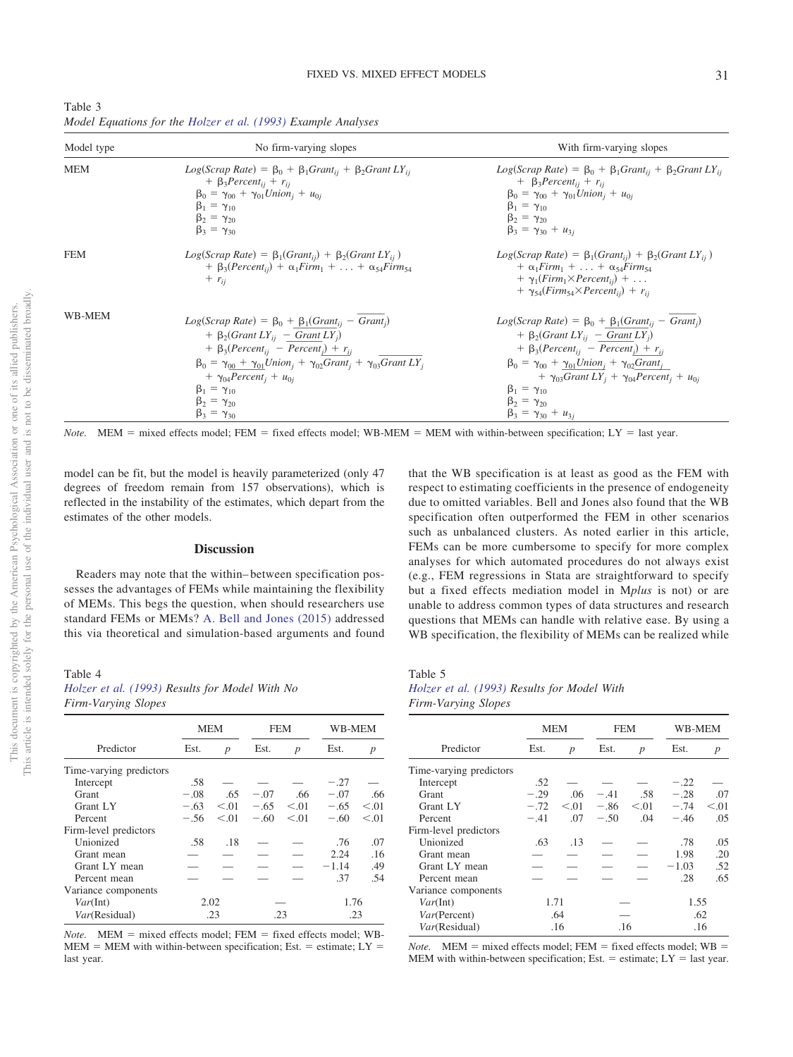<span id="page-11-0"></span>

| Table 3                                                       |  |  |
|---------------------------------------------------------------|--|--|
| Model Equations for the Holzer et al. (1993) Example Analyses |  |  |

| Model type | No firm-varying slopes                                                                                                                                                                                                                                                                                                                                                                             | With firm-varying slopes                                                                                                                                                                                                                                                                                                                                                                       |
|------------|----------------------------------------------------------------------------------------------------------------------------------------------------------------------------------------------------------------------------------------------------------------------------------------------------------------------------------------------------------------------------------------------------|------------------------------------------------------------------------------------------------------------------------------------------------------------------------------------------------------------------------------------------------------------------------------------------------------------------------------------------------------------------------------------------------|
| <b>MEM</b> | $Log(Scrap Rate) = \beta_0 + \beta_1 Grant_{ii} + \beta_2 Grant LV_{ii}$<br>+ $\beta_3$ Percent <sub>ij</sub> + $r_{ij}$<br>$\beta_0 = \gamma_{00} + \gamma_{01} Union_i + u_{0i}$<br>$\beta_1 = \gamma_{10}$<br>$\beta_2 = \gamma_{20}$<br>$\beta_3 = \gamma_{30}$                                                                                                                                | $Log(Scrap Rate) = \beta_0 + \beta_1 Grant_{ii} + \beta_2 Grant LV_{ii}$<br>+ $\beta_3 Percent_{ij} + r_{ij}$<br>$\beta_0 = \gamma_{00} + \gamma_{01} Union_i + u_{0i}$<br>$\beta_1 = \gamma_{10}$<br>$\beta_2 = \gamma_{20}$<br>$\beta_3 = \gamma_{30} + u_{3i}$                                                                                                                              |
| <b>FEM</b> | $Log(Scrap Rate) = \beta_1(Grant_{ii}) + \beta_2(Grant_{ii})$<br>+ $\beta_3(Percent_{ii})$ + $\alpha_1 Firm_1$ +  + $\alpha_{54} Firm_{54}$<br>$+ r_{ij}$                                                                                                                                                                                                                                          | $Log(Scrap Rate) = \beta_1(Grant_{ii}) + \beta_2(Grant LV_{ii})$<br>$+\alpha_1 Firm_1 + \ldots + \alpha_{54} Firm_{54}$<br>$+ \gamma_1(Firm_1 \times Percent_{ii}) + \dots$<br>+ $\gamma_{54}(Firm_{54}\times Percent_{ii})$ + $r_{ii}$                                                                                                                                                        |
| WB-MEM     | $Log(Scrap Rate) = \beta_0 + \beta_1(Grant_{ii} - Grant_{i})$<br>$+ \beta_2(Grant\ LY_{ii} - Grant\ LY_{i})$<br>$+ \beta_3(Percent_{ij} - Percent_j) + r_{ij}$<br>$\beta_0 = \gamma_{00} + \gamma_{01} Union_i + \gamma_{02} Grant_i + \gamma_{03} Grant LY_i$<br>$+ \gamma_{04}$ Percent <sub>i</sub> + $u_{0i}$<br>$\beta_1 = \gamma_{10}$<br>$\beta_2 = \gamma_{20}$<br>$\beta_3 = \gamma_{30}$ | $Log(Scrap Rate) = \beta_0 + \beta_1(Grant_{ii} - Grant_{i})$<br>$+ \beta_2(Grant\ LY_{ii} - Grant\ LY_{i})$<br>$+ \beta_3(Percent_{ii} - Percent_i) + r_{ii}$<br>$\beta_0 = \gamma_{00} + \gamma_{01} Union_i + \gamma_{02} Grant_i$<br>$+ \gamma_{03} Grant LY_i + \gamma_{04} Percent_i + u_{0i}$<br>$\beta_1 = \gamma_{10}$<br>$\beta_2 = \gamma_{20}$<br>$\beta_3 = \gamma_{30} + u_{3i}$ |

 $Note.$  MEM = mixed effects model; FEM = fixed effects model; WB-MEM = MEM with within-between specification; LY = last year.

model can be fit, but the model is heavily parameterized (only 47 degrees of freedom remain from 157 observations), which is reflected in the instability of the estimates, which depart from the estimates of the other models.

## **Discussion**

Readers may note that the within– between specification possesses the advantages of FEMs while maintaining the flexibility of MEMs. This begs the question, when should researchers use standard FEMs or MEMs? [A. Bell and Jones \(2015\)](#page-13-3) addressed this via theoretical and simulation-based arguments and found

<span id="page-11-1"></span>Table 4 *[Holzer et al. \(1993\)](#page-13-31) Results for Model With No Firm-Varying Slopes*

|                         | <b>MEM</b> |                  | <b>FEM</b> |        | WB-MEM  |                  |
|-------------------------|------------|------------------|------------|--------|---------|------------------|
| Predictor               | Est.       | $\boldsymbol{p}$ | Est.       | p      | Est.    | $\boldsymbol{p}$ |
| Time-varying predictors |            |                  |            |        |         |                  |
| Intercept               | .58        |                  |            |        | $-.27$  |                  |
| Grant                   | $-.08$     | .65              | $-.07$     | .66    | $-.07$  | .66              |
| Grant LY                | $-.63$     | < 0.01           | $-.65$     | < 0.01 | $-.65$  | < 0.01           |
| Percent                 | $-.56$     | < 0.01           | $-.60$     | < 0.01 | $-.60$  | < 0.01           |
| Firm-level predictors   |            |                  |            |        |         |                  |
| Unionized               | .58        | .18              |            |        | .76     | .07              |
| Grant mean              |            |                  |            |        | 2.24    | .16              |
| Grant LY mean           |            |                  |            |        | $-1.14$ | .49              |
| Percent mean            |            |                  |            |        | .37     | .54              |
| Variance components     |            |                  |            |        |         |                  |
| Var(int)                | 2.02       |                  |            |        | 1.76    |                  |
| Var(Residual)           | .23        |                  | .23        |        | .23     |                  |

*Note.* MEM = mixed effects model; FEM = fixed effects model; WB- $MEM = MEM$  with within-between specification; Est. = estimate;  $LY =$ last year.

that the WB specification is at least as good as the FEM with respect to estimating coefficients in the presence of endogeneity due to omitted variables. Bell and Jones also found that the WB specification often outperformed the FEM in other scenarios such as unbalanced clusters. As noted earlier in this article, FEMs can be more cumbersome to specify for more complex analyses for which automated procedures do not always exist (e.g., FEM regressions in Stata are straightforward to specify but a fixed effects mediation model in M*plus* is not) or are unable to address common types of data structures and research questions that MEMs can handle with relative ease. By using a WB specification, the flexibility of MEMs can be realized while

<span id="page-11-2"></span>Table 5

*[Holzer et al. \(1993\)](#page-13-31) Results for Model With Firm-Varying Slopes*

|                         | <b>MEM</b> |                  | FEM    |                  | WB-MEM  |                  |  |
|-------------------------|------------|------------------|--------|------------------|---------|------------------|--|
| Predictor               | Est.       | $\boldsymbol{p}$ | Est.   | $\boldsymbol{p}$ | Est.    | $\boldsymbol{p}$ |  |
| Time-varying predictors |            |                  |        |                  |         |                  |  |
| Intercept               | .52        |                  |        |                  | $-.22$  |                  |  |
| <b>Grant</b>            | $-.29$     | .06              | $-.41$ | .58              | $-.28$  | .07              |  |
| Grant LY                | $-.72$     | < 0.01           | $-.86$ | < 0.01           | $-.74$  | < 0.01           |  |
| Percent                 | $-.41$     | .07              | $-.50$ | .04              | $-.46$  | .05              |  |
| Firm-level predictors   |            |                  |        |                  |         |                  |  |
| Unionized               | .63        | .13              |        |                  | .78     | .05              |  |
| Grant mean              |            |                  |        |                  | 1.98    | .20              |  |
| Grant LY mean           |            |                  |        |                  | $-1.03$ | .52              |  |
| Percent mean            |            |                  |        |                  | .28     | .65              |  |
| Variance components     |            |                  |        |                  |         |                  |  |
| Var(int)                |            | 1.71             |        |                  |         | 1.55             |  |
| Var(Percent)            | .64        |                  |        |                  | .62     |                  |  |
| Var(Residual)           | .16        |                  | .16    |                  | .16     |                  |  |

*Note.* MEM = mixed effects model; FEM = fixed effects model;  $WB =$ MEM with within-between specification; Est.  $=$  estimate; LY  $=$  last year.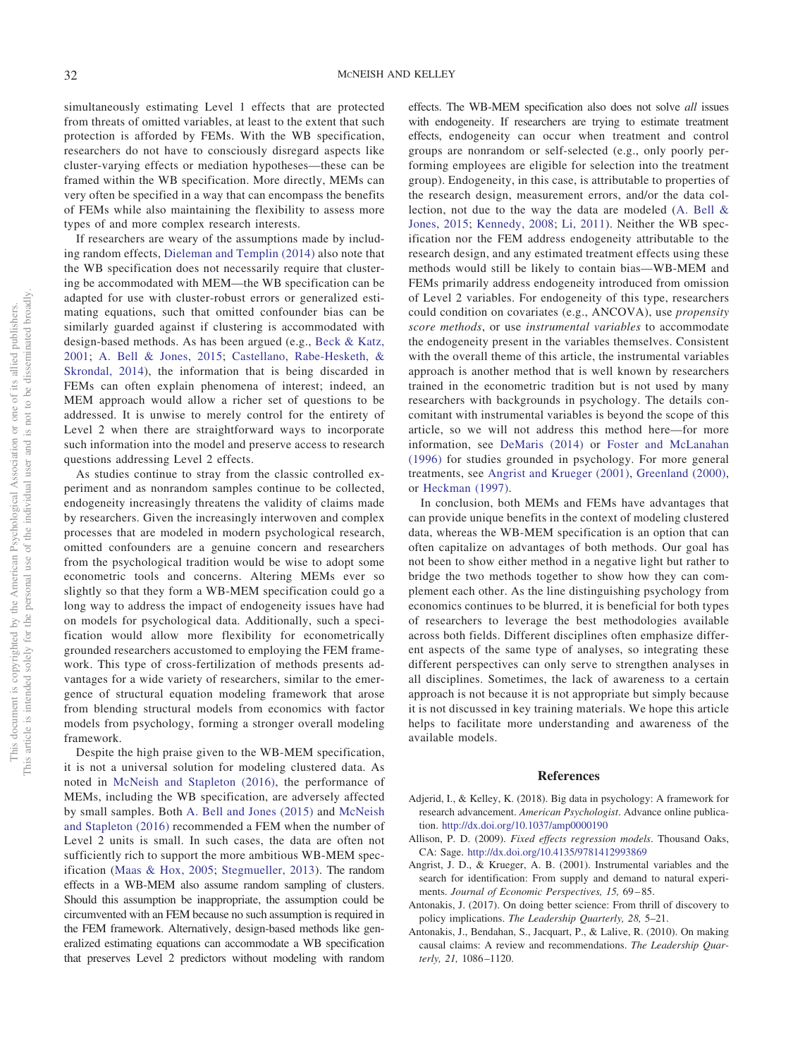simultaneously estimating Level 1 effects that are protected from threats of omitted variables, at least to the extent that such protection is afforded by FEMs. With the WB specification, researchers do not have to consciously disregard aspects like cluster-varying effects or mediation hypotheses—these can be framed within the WB specification. More directly, MEMs can very often be specified in a way that can encompass the benefits of FEMs while also maintaining the flexibility to assess more types of and more complex research interests.

If researchers are weary of the assumptions made by including random effects, [Dieleman and Templin \(2014\)](#page-13-30) also note that the WB specification does not necessarily require that clustering be accommodated with MEM—the WB specification can be adapted for use with cluster-robust errors or generalized estimating equations, such that omitted confounder bias can be similarly guarded against if clustering is accommodated with design-based methods. As has been argued (e.g., [Beck & Katz,](#page-13-21) [2001;](#page-13-21) [A. Bell & Jones, 2015;](#page-13-3) [Castellano, Rabe-Hesketh, &](#page-13-32) [Skrondal, 2014\)](#page-13-32), the information that is being discarded in FEMs can often explain phenomena of interest; indeed, an MEM approach would allow a richer set of questions to be addressed. It is unwise to merely control for the entirety of Level 2 when there are straightforward ways to incorporate such information into the model and preserve access to research questions addressing Level 2 effects.

As studies continue to stray from the classic controlled experiment and as nonrandom samples continue to be collected, endogeneity increasingly threatens the validity of claims made by researchers. Given the increasingly interwoven and complex processes that are modeled in modern psychological research, omitted confounders are a genuine concern and researchers from the psychological tradition would be wise to adopt some econometric tools and concerns. Altering MEMs ever so slightly so that they form a WB-MEM specification could go a long way to address the impact of endogeneity issues have had on models for psychological data. Additionally, such a specification would allow more flexibility for econometrically grounded researchers accustomed to employing the FEM framework. This type of cross-fertilization of methods presents advantages for a wide variety of researchers, similar to the emergence of structural equation modeling framework that arose from blending structural models from economics with factor models from psychology, forming a stronger overall modeling framework.

Despite the high praise given to the WB-MEM specification, it is not a universal solution for modeling clustered data. As noted in [McNeish and Stapleton \(2016\),](#page-14-12) the performance of MEMs, including the WB specification, are adversely affected by small samples. Both [A. Bell and Jones \(2015\)](#page-13-3) and [McNeish](#page-14-12) [and Stapleton \(2016\)](#page-14-12) recommended a FEM when the number of Level 2 units is small. In such cases, the data are often not sufficiently rich to support the more ambitious WB-MEM specification [\(Maas & Hox, 2005;](#page-14-6) [Stegmueller, 2013\)](#page-14-26). The random effects in a WB-MEM also assume random sampling of clusters. Should this assumption be inappropriate, the assumption could be circumvented with an FEM because no such assumption is required in the FEM framework. Alternatively, design-based methods like generalized estimating equations can accommodate a WB specification that preserves Level 2 predictors without modeling with random effects. The WB-MEM specification also does not solve *all* issues with endogeneity. If researchers are trying to estimate treatment effects, endogeneity can occur when treatment and control groups are nonrandom or self-selected (e.g., only poorly performing employees are eligible for selection into the treatment group). Endogeneity, in this case, is attributable to properties of the research design, measurement errors, and/or the data collection, not due to the way the data are modeled [\(A. Bell &](#page-13-3) [Jones, 2015;](#page-13-3) [Kennedy, 2008;](#page-14-39) [Li, 2011\)](#page-14-40). Neither the WB specification nor the FEM address endogeneity attributable to the research design, and any estimated treatment effects using these methods would still be likely to contain bias—WB-MEM and FEMs primarily address endogeneity introduced from omission of Level 2 variables. For endogeneity of this type, researchers could condition on covariates (e.g., ANCOVA), use *propensity score methods*, or use *instrumental variables* to accommodate the endogeneity present in the variables themselves. Consistent with the overall theme of this article, the instrumental variables approach is another method that is well known by researchers trained in the econometric tradition but is not used by many researchers with backgrounds in psychology. The details concomitant with instrumental variables is beyond the scope of this article, so we will not address this method here—for more information, see [DeMaris \(2014\)](#page-13-28) or [Foster and McLanahan](#page-13-33) [\(1996\)](#page-13-33) for studies grounded in psychology. For more general treatments, see [Angrist and Krueger \(2001\),](#page-12-4) [Greenland \(2000\),](#page-13-34) or [Heckman \(1997\).](#page-13-35)

In conclusion, both MEMs and FEMs have advantages that can provide unique benefits in the context of modeling clustered data, whereas the WB-MEM specification is an option that can often capitalize on advantages of both methods. Our goal has not been to show either method in a negative light but rather to bridge the two methods together to show how they can complement each other. As the line distinguishing psychology from economics continues to be blurred, it is beneficial for both types of researchers to leverage the best methodologies available across both fields. Different disciplines often emphasize different aspects of the same type of analyses, so integrating these different perspectives can only serve to strengthen analyses in all disciplines. Sometimes, the lack of awareness to a certain approach is not because it is not appropriate but simply because it is not discussed in key training materials. We hope this article helps to facilitate more understanding and awareness of the available models.

## **References**

- <span id="page-12-1"></span>Adjerid, I., & Kelley, K. (2018). Big data in psychology: A framework for research advancement. *American Psychologist*. Advance online publication. <http://dx.doi.org/10.1037/amp0000190>
- <span id="page-12-0"></span>Allison, P. D. (2009). *Fixed effects regression models*. Thousand Oaks, CA: Sage. <http://dx.doi.org/10.4135/9781412993869>
- <span id="page-12-4"></span>Angrist, J. D., & Krueger, A. B. (2001). Instrumental variables and the search for identification: From supply and demand to natural experiments. *Journal of Economic Perspectives, 15,* 69 – 85.
- <span id="page-12-2"></span>Antonakis, J. (2017). On doing better science: From thrill of discovery to policy implications. *The Leadership Quarterly, 28,* 5–21.
- <span id="page-12-3"></span>Antonakis, J., Bendahan, S., Jacquart, P., & Lalive, R. (2010). On making causal claims: A review and recommendations. *The Leadership Quarterly, 21,* 1086 –1120.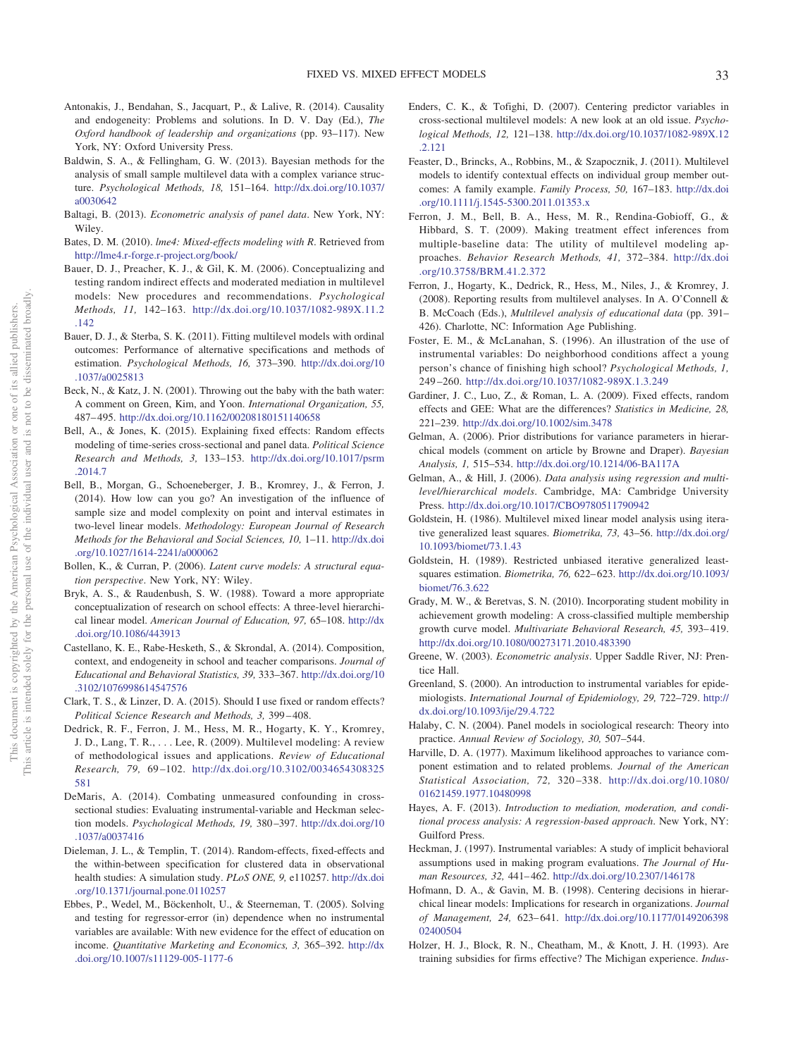- <span id="page-13-27"></span>Antonakis, J., Bendahan, S., Jacquart, P., & Lalive, R. (2014). Causality and endogeneity: Problems and solutions. In D. V. Day (Ed.), *The Oxford handbook of leadership and organizations* (pp. 93–117). New York, NY: Oxford University Press.
- <span id="page-13-18"></span>Baldwin, S. A., & Fellingham, G. W. (2013). Bayesian methods for the analysis of small sample multilevel data with a complex variance structure. *Psychological Methods, 18,* 151–164. [http://dx.doi.org/10.1037/](http://dx.doi.org/10.1037/a0030642) [a0030642](http://dx.doi.org/10.1037/a0030642)
- <span id="page-13-12"></span>Baltagi, B. (2013). *Econometric analysis of panel data*. New York, NY: Wiley.
- <span id="page-13-15"></span>Bates, D. M. (2010). *lme4: Mixed-effects modeling with R*. Retrieved from <http://lme4.r-forge.r-project.org/book/>
- <span id="page-13-20"></span>Bauer, D. J., Preacher, K. J., & Gil, K. M. (2006). Conceptualizing and testing random indirect effects and moderated mediation in multilevel models: New procedures and recommendations. *Psychological Methods, 11,* 142–163. [http://dx.doi.org/10.1037/1082-989X.11.2](http://dx.doi.org/10.1037/1082-989X.11.2.142) [.142](http://dx.doi.org/10.1037/1082-989X.11.2.142)
- <span id="page-13-2"></span>Bauer, D. J., & Sterba, S. K. (2011). Fitting multilevel models with ordinal outcomes: Performance of alternative specifications and methods of estimation. *Psychological Methods, 16,* 373–390. [http://dx.doi.org/10](http://dx.doi.org/10.1037/a0025813) [.1037/a0025813](http://dx.doi.org/10.1037/a0025813)
- <span id="page-13-21"></span>Beck, N., & Katz, J. N. (2001). Throwing out the baby with the bath water: A comment on Green, Kim, and Yoon. *International Organization, 55,* 487– 495. <http://dx.doi.org/10.1162/00208180151140658>
- <span id="page-13-3"></span>Bell, A., & Jones, K. (2015). Explaining fixed effects: Random effects modeling of time-series cross-sectional and panel data. *Political Science Research and Methods, 3,* 133–153. [http://dx.doi.org/10.1017/psrm](http://dx.doi.org/10.1017/psrm.2014.7) [.2014.7](http://dx.doi.org/10.1017/psrm.2014.7)
- <span id="page-13-14"></span>Bell, B., Morgan, G., Schoeneberger, J. B., Kromrey, J., & Ferron, J. (2014). How low can you go? An investigation of the influence of sample size and model complexity on point and interval estimates in two-level linear models. *Methodology: European Journal of Research Methods for the Behavioral and Social Sciences, 10,* 1–11. [http://dx.doi](http://dx.doi.org/10.1027/1614-2241/a000062) [.org/10.1027/1614-2241/a000062](http://dx.doi.org/10.1027/1614-2241/a000062)
- <span id="page-13-0"></span>Bollen, K., & Curran, P. (2006). *Latent curve models: A structural equation perspective*. New York, NY: Wiley.
- <span id="page-13-26"></span>Bryk, A. S., & Raudenbush, S. W. (1988). Toward a more appropriate conceptualization of research on school effects: A three-level hierarchical linear model. *American Journal of Education, 97,* 65–108. [http://dx](http://dx.doi.org/10.1086/443913) [.doi.org/10.1086/443913](http://dx.doi.org/10.1086/443913)
- <span id="page-13-32"></span>Castellano, K. E., Rabe-Hesketh, S., & Skrondal, A. (2014). Composition, context, and endogeneity in school and teacher comparisons. *Journal of Educational and Behavioral Statistics, 39,* 333–367. [http://dx.doi.org/10](http://dx.doi.org/10.3102/1076998614547576) [.3102/1076998614547576](http://dx.doi.org/10.3102/1076998614547576)
- <span id="page-13-9"></span>Clark, T. S., & Linzer, D. A. (2015). Should I use fixed or random effects? *Political Science Research and Methods, 3,* 399 – 408.
- <span id="page-13-13"></span>Dedrick, R. F., Ferron, J. M., Hess, M. R., Hogarty, K. Y., Kromrey, J. D., Lang, T. R.,... Lee, R. (2009). Multilevel modeling: A review of methodological issues and applications. *Review of Educational Research, 79,* 69 –102. [http://dx.doi.org/10.3102/0034654308325](http://dx.doi.org/10.3102/0034654308325581) [581](http://dx.doi.org/10.3102/0034654308325581)
- <span id="page-13-28"></span>DeMaris, A. (2014). Combating unmeasured confounding in crosssectional studies: Evaluating instrumental-variable and Heckman selection models. *Psychological Methods, 19,* 380 –397. [http://dx.doi.org/10](http://dx.doi.org/10.1037/a0037416) [.1037/a0037416](http://dx.doi.org/10.1037/a0037416)
- <span id="page-13-30"></span>Dieleman, J. L., & Templin, T. (2014). Random-effects, fixed-effects and the within-between specification for clustered data in observational health studies: A simulation study. *PLoS ONE, 9,* e110257. [http://dx.doi](http://dx.doi.org/10.1371/journal.pone.0110257) [.org/10.1371/journal.pone.0110257](http://dx.doi.org/10.1371/journal.pone.0110257)
- <span id="page-13-8"></span>Ebbes, P., Wedel, M., Böckenholt, U., & Steerneman, T. (2005). Solving and testing for regressor-error (in) dependence when no instrumental variables are available: With new evidence for the effect of education on income. *Quantitative Marketing and Economics, 3,* 365–392. [http://dx](http://dx.doi.org/10.1007/s11129-005-1177-6) [.doi.org/10.1007/s11129-005-1177-6](http://dx.doi.org/10.1007/s11129-005-1177-6)
- <span id="page-13-22"></span>Enders, C. K., & Tofighi, D. (2007). Centering predictor variables in cross-sectional multilevel models: A new look at an old issue. *Psychological Methods, 12,* 121–138. [http://dx.doi.org/10.1037/1082-989X.12](http://dx.doi.org/10.1037/1082-989X.12.2.121) [.2.121](http://dx.doi.org/10.1037/1082-989X.12.2.121)
- <span id="page-13-24"></span>Feaster, D., Brincks, A., Robbins, M., & Szapocznik, J. (2011). Multilevel models to identify contextual effects on individual group member outcomes: A family example. *Family Process, 50,* 167–183. [http://dx.doi](http://dx.doi.org/10.1111/j.1545-5300.2011.01353.x) [.org/10.1111/j.1545-5300.2011.01353.x](http://dx.doi.org/10.1111/j.1545-5300.2011.01353.x)
- <span id="page-13-16"></span>Ferron, J. M., Bell, B. A., Hess, M. R., Rendina-Gobioff, G., & Hibbard, S. T. (2009). Making treatment effect inferences from multiple-baseline data: The utility of multilevel modeling approaches. *Behavior Research Methods, 41,* 372–384. [http://dx.doi](http://dx.doi.org/10.3758/BRM.41.2.372) [.org/10.3758/BRM.41.2.372](http://dx.doi.org/10.3758/BRM.41.2.372)
- <span id="page-13-29"></span>Ferron, J., Hogarty, K., Dedrick, R., Hess, M., Niles, J., & Kromrey, J. (2008). Reporting results from multilevel analyses. In A. O'Connell & B. McCoach (Eds.), *Multilevel analysis of educational data* (pp. 391– 426). Charlotte, NC: Information Age Publishing.
- <span id="page-13-33"></span>Foster, E. M., & McLanahan, S. (1996). An illustration of the use of instrumental variables: Do neighborhood conditions affect a young person's chance of finishing high school? *Psychological Methods, 1,* 249 –260. <http://dx.doi.org/10.1037/1082-989X.1.3.249>
- <span id="page-13-7"></span>Gardiner, J. C., Luo, Z., & Roman, L. A. (2009). Fixed effects, random effects and GEE: What are the differences? *Statistics in Medicine, 28,* 221–239. <http://dx.doi.org/10.1002/sim.3478>
- <span id="page-13-17"></span>Gelman, A. (2006). Prior distributions for variance parameters in hierarchical models (comment on article by Browne and Draper). *Bayesian Analysis, 1,* 515–534. <http://dx.doi.org/10.1214/06-BA117A>
- <span id="page-13-11"></span>Gelman, A., & Hill, J. (2006). *Data analysis using regression and multilevel/hierarchical models*. Cambridge, MA: Cambridge University Press. <http://dx.doi.org/10.1017/CBO9780511790942>
- <span id="page-13-4"></span>Goldstein, H. (1986). Multilevel mixed linear model analysis using iterative generalized least squares. *Biometrika, 73,* 43–56. [http://dx.doi.org/](http://dx.doi.org/10.1093/biomet/73.1.43) [10.1093/biomet/73.1.43](http://dx.doi.org/10.1093/biomet/73.1.43)
- <span id="page-13-5"></span>Goldstein, H. (1989). Restricted unbiased iterative generalized leastsquares estimation. *Biometrika, 76,* 622– 623. [http://dx.doi.org/10.1093/](http://dx.doi.org/10.1093/biomet/76.3.622) [biomet/76.3.622](http://dx.doi.org/10.1093/biomet/76.3.622)
- <span id="page-13-25"></span>Grady, M. W., & Beretvas, S. N. (2010). Incorporating student mobility in achievement growth modeling: A cross-classified multiple membership growth curve model. *Multivariate Behavioral Research, 45,* 393– 419. <http://dx.doi.org/10.1080/00273171.2010.483390>
- <span id="page-13-1"></span>Greene, W. (2003). *Econometric analysis*. Upper Saddle River, NJ: Prentice Hall.
- <span id="page-13-34"></span>Greenland, S. (2000). An introduction to instrumental variables for epidemiologists. *International Journal of Epidemiology, 29,* 722–729. [http://](http://dx.doi.org/10.1093/ije/29.4.722) [dx.doi.org/10.1093/ije/29.4.722](http://dx.doi.org/10.1093/ije/29.4.722)
- <span id="page-13-10"></span>Halaby, C. N. (2004). Panel models in sociological research: Theory into practice. *Annual Review of Sociology, 30,* 507–544.
- <span id="page-13-6"></span>Harville, D. A. (1977). Maximum likelihood approaches to variance component estimation and to related problems. *Journal of the American Statistical Association, 72,* 320 –338. [http://dx.doi.org/10.1080/](http://dx.doi.org/10.1080/01621459.1977.10480998) [01621459.1977.10480998](http://dx.doi.org/10.1080/01621459.1977.10480998)
- <span id="page-13-19"></span>Hayes, A. F. (2013). *Introduction to mediation, moderation, and conditional process analysis: A regression-based approach*. New York, NY: Guilford Press.
- <span id="page-13-35"></span>Heckman, J. (1997). Instrumental variables: A study of implicit behavioral assumptions used in making program evaluations. *The Journal of Human Resources, 32,* 441– 462. <http://dx.doi.org/10.2307/146178>
- <span id="page-13-23"></span>Hofmann, D. A., & Gavin, M. B. (1998). Centering decisions in hierarchical linear models: Implications for research in organizations. *Journal of Management, 24,* 623– 641. [http://dx.doi.org/10.1177/0149206398](http://dx.doi.org/10.1177/014920639802400504) [02400504](http://dx.doi.org/10.1177/014920639802400504)
- <span id="page-13-31"></span>Holzer, H. J., Block, R. N., Cheatham, M., & Knott, J. H. (1993). Are training subsidies for firms effective? The Michigan experience. *Indus-*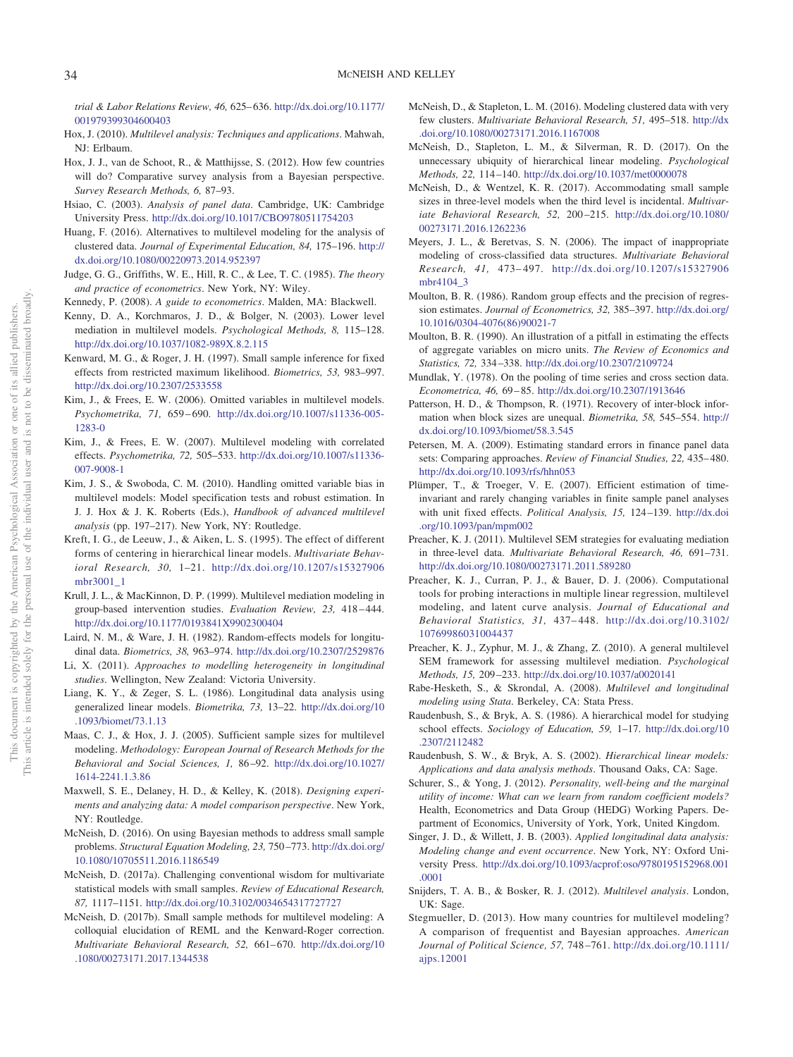*trial & Labor Relations Review, 46,* 625– 636. [http://dx.doi.org/10.1177/](http://dx.doi.org/10.1177/001979399304600403) [001979399304600403](http://dx.doi.org/10.1177/001979399304600403)

- <span id="page-14-0"></span>Hox, J. (2010). *Multilevel analysis: Techniques and applications*. Mahwah, NJ: Erlbaum.
- <span id="page-14-23"></span>Hox, J. J., van de Schoot, R., & Matthijsse, S. (2012). How few countries will do? Comparative survey analysis from a Bayesian perspective. *Survey Research Methods, 6,* 87–93.
- <span id="page-14-20"></span>Hsiao, C. (2003). *Analysis of panel data*. Cambridge, UK: Cambridge University Press. <http://dx.doi.org/10.1017/CBO9780511754203>
- <span id="page-14-11"></span>Huang, F. (2016). Alternatives to multilevel modeling for the analysis of clustered data. *Journal of Experimental Education, 84,* 175–196. [http://](http://dx.doi.org/10.1080/00220973.2014.952397) [dx.doi.org/10.1080/00220973.2014.952397](http://dx.doi.org/10.1080/00220973.2014.952397)
- <span id="page-14-21"></span>Judge, G. G., Griffiths, W. E., Hill, R. C., & Lee, T. C. (1985). *The theory and practice of econometrics*. New York, NY: Wiley.
- <span id="page-14-39"></span>Kennedy, P. (2008). *A guide to econometrics*. Malden, MA: Blackwell.
- <span id="page-14-28"></span>Kenny, D. A., Korchmaros, J. D., & Bolger, N. (2003). Lower level mediation in multilevel models. *Psychological Methods, 8,* 115–128. <http://dx.doi.org/10.1037/1082-989X.8.2.115>
- <span id="page-14-22"></span>Kenward, M. G., & Roger, J. H. (1997). Small sample inference for fixed effects from restricted maximum likelihood. *Biometrics, 53,* 983–997. <http://dx.doi.org/10.2307/2533558>
- <span id="page-14-18"></span>Kim, J., & Frees, E. W. (2006). Omitted variables in multilevel models. *Psychometrika, 71,* 659 – 690. [http://dx.doi.org/10.1007/s11336-005-](http://dx.doi.org/10.1007/s11336-005-1283-0) [1283-0](http://dx.doi.org/10.1007/s11336-005-1283-0)
- <span id="page-14-19"></span>Kim, J., & Frees, E. W. (2007). Multilevel modeling with correlated effects. *Psychometrika, 72,* 505–533. [http://dx.doi.org/10.1007/s11336-](http://dx.doi.org/10.1007/s11336-007-9008-1) [007-9008-1](http://dx.doi.org/10.1007/s11336-007-9008-1)
- <span id="page-14-37"></span>Kim, J. S., & Swoboda, C. M. (2010). Handling omitted variable bias in multilevel models: Model specification tests and robust estimation. In J. J. Hox & J. K. Roberts (Eds.), *Handbook of advanced multilevel analysis* (pp. 197–217). New York, NY: Routledge.
- <span id="page-14-33"></span>Kreft, I. G., de Leeuw, J., & Aiken, L. S. (1995). The effect of different forms of centering in hierarchical linear models. *Multivariate Behavioral Research, 30,* 1–21. [http://dx.doi.org/10.1207/s15327906](http://dx.doi.org/10.1207/s15327906mbr3001_1) [mbr3001\\_1](http://dx.doi.org/10.1207/s15327906mbr3001_1)
- <span id="page-14-27"></span>Krull, J. L., & MacKinnon, D. P. (1999). Multilevel mediation modeling in group-based intervention studies. *Evaluation Review, 23,* 418 – 444. <http://dx.doi.org/10.1177/0193841X9902300404>
- <span id="page-14-15"></span>Laird, N. M., & Ware, J. H. (1982). Random-effects models for longitudinal data. *Biometrics, 38,* 963–974. <http://dx.doi.org/10.2307/2529876>
- <span id="page-14-40"></span>Li, X. (2011). *Approaches to modelling heterogeneity in longitudinal studies*. Wellington, New Zealand: Victoria University.
- <span id="page-14-5"></span>Liang, K. Y., & Zeger, S. L. (1986). Longitudinal data analysis using generalized linear models. *Biometrika, 73,* 13–22. [http://dx.doi.org/10](http://dx.doi.org/10.1093/biomet/73.1.13) [.1093/biomet/73.1.13](http://dx.doi.org/10.1093/biomet/73.1.13)
- <span id="page-14-6"></span>Maas, C. J., & Hox, J. J. (2005). Sufficient sample sizes for multilevel modeling. *Methodology: European Journal of Research Methods for the Behavioral and Social Sciences, 1,* 86 –92. [http://dx.doi.org/10.1027/](http://dx.doi.org/10.1027/1614-2241.1.3.86) [1614-2241.1.3.86](http://dx.doi.org/10.1027/1614-2241.1.3.86)
- <span id="page-14-13"></span>Maxwell, S. E., Delaney, H. D., & Kelley, K. (2018). *Designing experiments and analyzing data: A model comparison perspective*. New York, NY: Routledge.
- <span id="page-14-24"></span>McNeish, D. (2016). On using Bayesian methods to address small sample problems. *Structural Equation Modeling, 23,* 750 –773. [http://dx.doi.org/](http://dx.doi.org/10.1080/10705511.2016.1186549) [10.1080/10705511.2016.1186549](http://dx.doi.org/10.1080/10705511.2016.1186549)
- <span id="page-14-25"></span>McNeish, D. (2017a). Challenging conventional wisdom for multivariate statistical models with small samples. *Review of Educational Research, 87,* 1117–1151. <http://dx.doi.org/10.3102/0034654317727727>
- <span id="page-14-17"></span>McNeish, D. (2017b). Small sample methods for multilevel modeling: A colloquial elucidation of REML and the Kenward-Roger correction. *Multivariate Behavioral Research, 52,* 661– 670. [http://dx.doi.org/10](http://dx.doi.org/10.1080/00273171.2017.1344538) [.1080/00273171.2017.1344538](http://dx.doi.org/10.1080/00273171.2017.1344538)
- <span id="page-14-12"></span>McNeish, D., & Stapleton, L. M. (2016). Modeling clustered data with very few clusters. *Multivariate Behavioral Research, 51,* 495–518. [http://dx](http://dx.doi.org/10.1080/00273171.2016.1167008) [.doi.org/10.1080/00273171.2016.1167008](http://dx.doi.org/10.1080/00273171.2016.1167008)
- <span id="page-14-9"></span>McNeish, D., Stapleton, L. M., & Silverman, R. D. (2017). On the unnecessary ubiquity of hierarchical linear modeling. *Psychological Methods, 22,* 114 –140. <http://dx.doi.org/10.1037/met0000078>
- <span id="page-14-35"></span>McNeish, D., & Wentzel, K. R. (2017). Accommodating small sample sizes in three-level models when the third level is incidental. *Multivariate Behavioral Research, 52,* 200 –215. [http://dx.doi.org/10.1080/](http://dx.doi.org/10.1080/00273171.2016.1262236) [00273171.2016.1262236](http://dx.doi.org/10.1080/00273171.2016.1262236)
- <span id="page-14-34"></span>Meyers, J. L., & Beretvas, S. N. (2006). The impact of inappropriate modeling of cross-classified data structures. *Multivariate Behavioral Research, 41,* 473– 497. [http://dx.doi.org/10.1207/s15327906](http://dx.doi.org/10.1207/s15327906mbr4104_3) [mbr4104\\_3](http://dx.doi.org/10.1207/s15327906mbr4104_3)
- <span id="page-14-7"></span>Moulton, B. R. (1986). Random group effects and the precision of regression estimates. *Journal of Econometrics, 32,* 385–397. [http://dx.doi.org/](http://dx.doi.org/10.1016/0304-4076%2886%2990021-7) [10.1016/0304-4076\(86\)90021-7](http://dx.doi.org/10.1016/0304-4076%2886%2990021-7)
- <span id="page-14-8"></span>Moulton, B. R. (1990). An illustration of a pitfall in estimating the effects of aggregate variables on micro units. *The Review of Economics and Statistics, 72,* 334 –338. <http://dx.doi.org/10.2307/2109724>
- <span id="page-14-38"></span>Mundlak, Y. (1978). On the pooling of time series and cross section data. *Econometrica, 46,* 69 – 85. <http://dx.doi.org/10.2307/1913646>
- <span id="page-14-16"></span>Patterson, H. D., & Thompson, R. (1971). Recovery of inter-block information when block sizes are unequal. *Biometrika, 58,* 545–554. [http://](http://dx.doi.org/10.1093/biomet/58.3.545) [dx.doi.org/10.1093/biomet/58.3.545](http://dx.doi.org/10.1093/biomet/58.3.545)
- <span id="page-14-10"></span>Petersen, M. A. (2009). Estimating standard errors in finance panel data sets: Comparing approaches. *Review of Financial Studies*, 22, 435–480. <http://dx.doi.org/10.1093/rfs/hhn053>
- <span id="page-14-36"></span>Plümper, T., & Troeger, V. E. (2007). Efficient estimation of timeinvariant and rarely changing variables in finite sample panel analyses with unit fixed effects. *Political Analysis, 15,* 124 –139. [http://dx.doi](http://dx.doi.org/10.1093/pan/mpm002) [.org/10.1093/pan/mpm002](http://dx.doi.org/10.1093/pan/mpm002)
- <span id="page-14-30"></span>Preacher, K. J. (2011). Multilevel SEM strategies for evaluating mediation in three-level data. *Multivariate Behavioral Research, 46,* 691–731. <http://dx.doi.org/10.1080/00273171.2011.589280>
- <span id="page-14-31"></span>Preacher, K. J., Curran, P. J., & Bauer, D. J. (2006). Computational tools for probing interactions in multiple linear regression, multilevel modeling, and latent curve analysis. *Journal of Educational and Behavioral Statistics, 31,* 437– 448. [http://dx.doi.org/10.3102/](http://dx.doi.org/10.3102/10769986031004437) [10769986031004437](http://dx.doi.org/10.3102/10769986031004437)
- <span id="page-14-29"></span>Preacher, K. J., Zyphur, M. J., & Zhang, Z. (2010). A general multilevel SEM framework for assessing multilevel mediation. *Psychological Methods, 15,* 209 –233. <http://dx.doi.org/10.1037/a0020141>
- <span id="page-14-3"></span>Rabe-Hesketh, S., & Skrondal, A. (2008). *Multilevel and longitudinal modeling using Stata*. Berkeley, CA: Stata Press.
- <span id="page-14-32"></span>Raudenbush, S., & Bryk, A. S. (1986). A hierarchical model for studying school effects. *Sociology of Education, 59,* 1–17. [http://dx.doi.org/10](http://dx.doi.org/10.2307/2112482) [.2307/2112482](http://dx.doi.org/10.2307/2112482)
- <span id="page-14-1"></span>Raudenbush, S. W., & Bryk, A. S. (2002). *Hierarchical linear models: Applications and data analysis methods*. Thousand Oaks, CA: Sage.
- <span id="page-14-14"></span>Schurer, S., & Yong, J. (2012). *Personality, well-being and the marginal utility of income: What can we learn from random coefficient models?* Health, Econometrics and Data Group (HEDG) Working Papers. Department of Economics, University of York, York, United Kingdom.
- <span id="page-14-4"></span>Singer, J. D., & Willett, J. B. (2003). *Applied longitudinal data analysis: Modeling change and event occurrence*. New York, NY: Oxford University Press. [http://dx.doi.org/10.1093/acprof:oso/9780195152968.001](http://dx.doi.org/10.1093/acprof:oso/9780195152968.001.0001) [.0001](http://dx.doi.org/10.1093/acprof:oso/9780195152968.001.0001)
- <span id="page-14-2"></span>Snijders, T. A. B., & Bosker, R. J. (2012). *Multilevel analysis*. London, UK: Sage.
- <span id="page-14-26"></span>Stegmueller, D. (2013). How many countries for multilevel modeling? A comparison of frequentist and Bayesian approaches. *American Journal of Political Science, 57,* 748 –761. [http://dx.doi.org/10.1111/](http://dx.doi.org/10.1111/ajps.12001) aips.12001